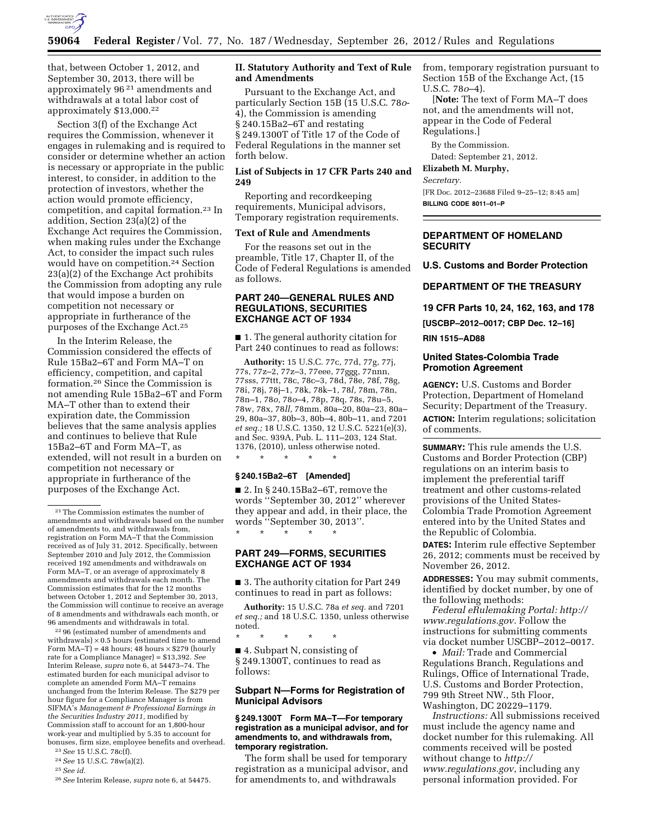

that, between October 1, 2012, and September 30, 2013, there will be approximately 96 21 amendments and withdrawals at a total labor cost of approximately \$13,000.22

Section 3(f) of the Exchange Act requires the Commission, whenever it engages in rulemaking and is required to consider or determine whether an action is necessary or appropriate in the public interest, to consider, in addition to the protection of investors, whether the action would promote efficiency, competition, and capital formation.23 In addition, Section 23(a)(2) of the Exchange Act requires the Commission, when making rules under the Exchange Act, to consider the impact such rules would have on competition.24 Section 23(a)(2) of the Exchange Act prohibits the Commission from adopting any rule that would impose a burden on competition not necessary or appropriate in furtherance of the purposes of the Exchange Act.25

In the Interim Release, the Commission considered the effects of Rule 15Ba2–6T and Form MA–T on efficiency, competition, and capital formation.26 Since the Commission is not amending Rule 15Ba2–6T and Form MA–T other than to extend their expiration date, the Commission believes that the same analysis applies and continues to believe that Rule 15Ba2–6T and Form MA–T, as extended, will not result in a burden on competition not necessary or appropriate in furtherance of the purposes of the Exchange Act.

22 96 (estimated number of amendments and withdrawals)  $\times$  0.5 hours (estimated time to amend Form  $MA-T$ ) = 48 hours; 48 hours  $\times$  \$279 (hourly rate for a Compliance Manager) = \$13,392. *See*  Interim Release, *supra* note 6, at 54473–74. The estimated burden for each municipal advisor to complete an amended Form MA–T remains unchanged from the Interim Release. The \$279 per hour figure for a Compliance Manager is from SIFMA's *Management & Professional Earnings in the Securities Industry 2011,* modified by Commission staff to account for an 1,800-hour work-year and multiplied by 5.35 to account for bonuses, firm size, employee benefits and overhead.

23*See* 15 U.S.C. 78c(f). 24*See* 15 U.S.C. 78w(a)(2).

25*See id.* 

26*See* Interim Release, *supra* note 6, at 54475.

## **II. Statutory Authority and Text of Rule and Amendments**

Pursuant to the Exchange Act, and particularly Section 15B (15 U.S.C. 78*o*-4), the Commission is amending § 240.15Ba2–6T and restating § 249.1300T of Title 17 of the Code of Federal Regulations in the manner set forth below.

## **List of Subjects in 17 CFR Parts 240 and 249**

Reporting and recordkeeping requirements, Municipal advisors, Temporary registration requirements.

## **Text of Rule and Amendments**

For the reasons set out in the preamble, Title 17, Chapter II, of the Code of Federal Regulations is amended as follows.

## **PART 240—GENERAL RULES AND REGULATIONS, SECURITIES EXCHANGE ACT OF 1934**

■ 1. The general authority citation for Part 240 continues to read as follows:

**Authority:** 15 U.S.C. 77c, 77d, 77g, 77j, 77s, 77z–2, 77z–3, 77eee, 77ggg, 77nnn, 77sss, 77ttt, 78c, 78c–3, 78d, 78e, 78f, 78g, 78i, 78j, 78j–1, 78k, 78k–1, 78*l,* 78m, 78n, 78n–1, 78*o,* 78*o*–4, 78p, 78q, 78s, 78u–5, 78w, 78x, 78*ll,* 78mm, 80a–20, 80a–23, 80a– 29, 80a–37, 80b–3, 80b–4, 80b–11, and 7201 *et seq.;* 18 U.S.C. 1350, 12 U.S.C. 5221(e)(3), and Sec. 939A, Pub. L. 111–203, 124 Stat. 1376, (2010), unless otherwise noted.

## **§ 240.15Ba2–6T [Amended]**

\* \* \* \* \*

■ 2. In § 240.15Ba2–6T, remove the words ''September 30, 2012'' wherever they appear and add, in their place, the words ''September 30, 2013''. \* \* \* \* \*

## **PART 249—FORMS, SECURITIES EXCHANGE ACT OF 1934**

■ 3. The authority citation for Part 249 continues to read in part as follows:

**Authority:** 15 U.S.C. 78a *et seq.* and 7201 *et seq.;* and 18 U.S.C. 1350, unless otherwise noted.

\* \* \* \* \*

■ 4. Subpart N, consisting of § 249.1300T, continues to read as follows:

## **Subpart N—Forms for Registration of Municipal Advisors**

### **§ 249.1300T Form MA–T—For temporary registration as a municipal advisor, and for amendments to, and withdrawals from, temporary registration.**

The form shall be used for temporary registration as a municipal advisor, and for amendments to, and withdrawals

from, temporary registration pursuant to Section 15B of the Exchange Act, (15 U.S.C. 78*o*–4).

[**Note:** The text of Form MA–T does not, and the amendments will not, appear in the Code of Federal Regulations.]

By the Commission. Dated: September 21, 2012.

# **Elizabeth M. Murphy,**

*Secretary.* 

[FR Doc. 2012–23688 Filed 9–25–12; 8:45 am] **BILLING CODE 8011–01–P** 

## **DEPARTMENT OF HOMELAND SECURITY**

**U.S. Customs and Border Protection** 

## **DEPARTMENT OF THE TREASURY**

**19 CFR Parts 10, 24, 162, 163, and 178** 

**[USCBP–2012–0017; CBP Dec. 12–16]** 

## **RIN 1515–AD88**

## **United States-Colombia Trade Promotion Agreement**

**AGENCY:** U.S. Customs and Border Protection, Department of Homeland Security; Department of the Treasury. **ACTION:** Interim regulations; solicitation of comments.

**SUMMARY:** This rule amends the U.S. Customs and Border Protection (CBP) regulations on an interim basis to implement the preferential tariff treatment and other customs-related provisions of the United States-Colombia Trade Promotion Agreement entered into by the United States and the Republic of Colombia.

**DATES:** Interim rule effective September 26, 2012; comments must be received by November 26, 2012.

**ADDRESSES:** You may submit comments, identified by docket number, by one of the following methods:

*Federal eRulemaking Portal: [http://](http://www.regulations.gov)  [www.regulations.gov.](http://www.regulations.gov)* Follow the instructions for submitting comments via docket number USCBP–2012–0017.

• *Mail:* Trade and Commercial Regulations Branch, Regulations and Rulings, Office of International Trade, U.S. Customs and Border Protection, 799 9th Street NW., 5th Floor, Washington, DC 20229–1179.

*Instructions:* All submissions received must include the agency name and docket number for this rulemaking. All comments received will be posted without change to *[http://](http://www.regulations.gov) [www.regulations.gov](http://www.regulations.gov)*, including any personal information provided. For

<sup>21</sup>The Commission estimates the number of amendments and withdrawals based on the number of amendments to, and withdrawals from, registration on Form MA–T that the Commission received as of July 31, 2012. Specifically, between September 2010 and July 2012, the Commission received 192 amendments and withdrawals on Form MA–T, or an average of approximately 8 amendments and withdrawals each month. The Commission estimates that for the 12 months between October 1, 2012 and September 30, 2013, the Commission will continue to receive an average of 8 amendments and withdrawals each month, or 96 amendments and withdrawals in total.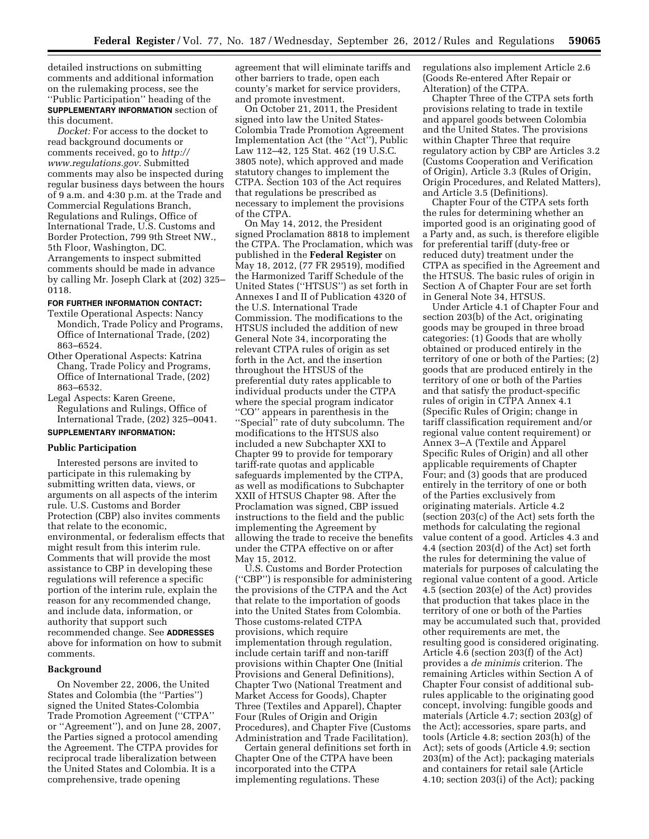detailed instructions on submitting comments and additional information on the rulemaking process, see the ''Public Participation'' heading of the **SUPPLEMENTARY INFORMATION** section of this document.

*Docket:* For access to the docket to read background documents or comments received, go to *[http://](http://www.regulations.gov)  [www.regulations.gov.](http://www.regulations.gov)* Submitted comments may also be inspected during regular business days between the hours of 9 a.m. and 4:30 p.m. at the Trade and Commercial Regulations Branch, Regulations and Rulings, Office of International Trade, U.S. Customs and Border Protection, 799 9th Street NW., 5th Floor, Washington, DC. Arrangements to inspect submitted comments should be made in advance by calling Mr. Joseph Clark at (202) 325– 0118.

## **FOR FURTHER INFORMATION CONTACT:**

- Textile Operational Aspects: Nancy Mondich, Trade Policy and Programs, Office of International Trade, (202) 863–6524.
- Other Operational Aspects: Katrina Chang, Trade Policy and Programs, Office of International Trade, (202) 863–6532.
- Legal Aspects: Karen Greene, Regulations and Rulings, Office of International Trade, (202) 325–0041.

# **SUPPLEMENTARY INFORMATION:**

## **Public Participation**

Interested persons are invited to participate in this rulemaking by submitting written data, views, or arguments on all aspects of the interim rule. U.S. Customs and Border Protection (CBP) also invites comments that relate to the economic, environmental, or federalism effects that might result from this interim rule. Comments that will provide the most assistance to CBP in developing these regulations will reference a specific portion of the interim rule, explain the reason for any recommended change, and include data, information, or authority that support such recommended change. See **ADDRESSES** above for information on how to submit comments.

#### **Background**

On November 22, 2006, the United States and Colombia (the ''Parties'') signed the United States-Colombia Trade Promotion Agreement (''CTPA'' or ''Agreement''), and on June 28, 2007, the Parties signed a protocol amending the Agreement. The CTPA provides for reciprocal trade liberalization between the United States and Colombia. It is a comprehensive, trade opening

agreement that will eliminate tariffs and other barriers to trade, open each county's market for service providers, and promote investment.

On October 21, 2011, the President signed into law the United States-Colombia Trade Promotion Agreement Implementation Act (the ''Act''), Public Law 112–42, 125 Stat. 462 (19 U.S.C. 3805 note), which approved and made statutory changes to implement the CTPA. Section 103 of the Act requires that regulations be prescribed as necessary to implement the provisions of the CTPA.

On May 14, 2012, the President signed Proclamation 8818 to implement the CTPA. The Proclamation, which was published in the **Federal Register** on May 18, 2012, (77 FR 29519), modified the Harmonized Tariff Schedule of the United States (''HTSUS'') as set forth in Annexes I and II of Publication 4320 of the U.S. International Trade Commission. The modifications to the HTSUS included the addition of new General Note 34, incorporating the relevant CTPA rules of origin as set forth in the Act, and the insertion throughout the HTSUS of the preferential duty rates applicable to individual products under the CTPA where the special program indicator ''CO'' appears in parenthesis in the ''Special'' rate of duty subcolumn. The modifications to the HTSUS also included a new Subchapter XXI to Chapter 99 to provide for temporary tariff-rate quotas and applicable safeguards implemented by the CTPA, as well as modifications to Subchapter XXII of HTSUS Chapter 98. After the Proclamation was signed, CBP issued instructions to the field and the public implementing the Agreement by allowing the trade to receive the benefits under the CTPA effective on or after May 15, 2012.

U.S. Customs and Border Protection (''CBP'') is responsible for administering the provisions of the CTPA and the Act that relate to the importation of goods into the United States from Colombia. Those customs-related CTPA provisions, which require implementation through regulation, include certain tariff and non-tariff provisions within Chapter One (Initial Provisions and General Definitions), Chapter Two (National Treatment and Market Access for Goods), Chapter Three (Textiles and Apparel), Chapter Four (Rules of Origin and Origin Procedures), and Chapter Five (Customs Administration and Trade Facilitation).

Certain general definitions set forth in Chapter One of the CTPA have been incorporated into the CTPA implementing regulations. These

regulations also implement Article 2.6 (Goods Re-entered After Repair or Alteration) of the CTPA.

Chapter Three of the CTPA sets forth provisions relating to trade in textile and apparel goods between Colombia and the United States. The provisions within Chapter Three that require regulatory action by CBP are Articles 3.2 (Customs Cooperation and Verification of Origin), Article 3.3 (Rules of Origin, Origin Procedures, and Related Matters), and Article 3.5 (Definitions).

Chapter Four of the CTPA sets forth the rules for determining whether an imported good is an originating good of a Party and, as such, is therefore eligible for preferential tariff (duty-free or reduced duty) treatment under the CTPA as specified in the Agreement and the HTSUS. The basic rules of origin in Section A of Chapter Four are set forth in General Note 34, HTSUS.

Under Article 4.1 of Chapter Four and section 203(b) of the Act, originating goods may be grouped in three broad categories: (1) Goods that are wholly obtained or produced entirely in the territory of one or both of the Parties; (2) goods that are produced entirely in the territory of one or both of the Parties and that satisfy the product-specific rules of origin in CTPA Annex 4.1 (Specific Rules of Origin; change in tariff classification requirement and/or regional value content requirement) or Annex 3–A (Textile and Apparel Specific Rules of Origin) and all other applicable requirements of Chapter Four; and (3) goods that are produced entirely in the territory of one or both of the Parties exclusively from originating materials. Article 4.2 (section 203(c) of the Act) sets forth the methods for calculating the regional value content of a good. Articles 4.3 and 4.4 (section 203(d) of the Act) set forth the rules for determining the value of materials for purposes of calculating the regional value content of a good. Article 4.5 (section 203(e) of the Act) provides that production that takes place in the territory of one or both of the Parties may be accumulated such that, provided other requirements are met, the resulting good is considered originating. Article 4.6 (section 203(f) of the Act) provides a *de minimis* criterion. The remaining Articles within Section A of Chapter Four consist of additional subrules applicable to the originating good concept, involving: fungible goods and materials (Article 4.7; section 203(g) of the Act); accessories, spare parts, and tools (Article 4.8; section 203(h) of the Act); sets of goods (Article 4.9; section 203(m) of the Act); packaging materials and containers for retail sale (Article 4.10; section 203(i) of the Act); packing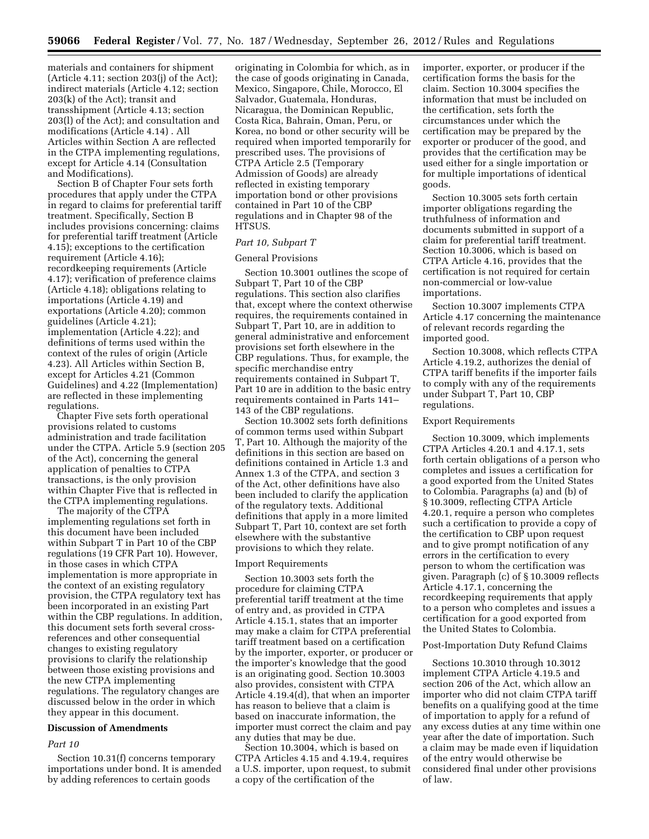materials and containers for shipment (Article 4.11; section 203(j) of the Act); indirect materials (Article 4.12; section 203(k) of the Act); transit and transshipment (Article 4.13; section 203(l) of the Act); and consultation and modifications (Article 4.14) . All Articles within Section A are reflected in the CTPA implementing regulations, except for Article 4.14 (Consultation and Modifications).

Section B of Chapter Four sets forth procedures that apply under the CTPA in regard to claims for preferential tariff treatment. Specifically, Section B includes provisions concerning: claims for preferential tariff treatment (Article 4.15); exceptions to the certification requirement (Article 4.16); recordkeeping requirements (Article 4.17); verification of preference claims (Article 4.18); obligations relating to importations (Article 4.19) and exportations (Article 4.20); common guidelines (Article 4.21); implementation (Article 4.22); and definitions of terms used within the context of the rules of origin (Article 4.23). All Articles within Section B, except for Articles 4.21 (Common Guidelines) and 4.22 (Implementation) are reflected in these implementing regulations.

Chapter Five sets forth operational provisions related to customs administration and trade facilitation under the CTPA. Article 5.9 (section 205 of the Act), concerning the general application of penalties to CTPA transactions, is the only provision within Chapter Five that is reflected in the CTPA implementing regulations.

The majority of the CTPA implementing regulations set forth in this document have been included within Subpart T in Part 10 of the CBP regulations (19 CFR Part 10). However, in those cases in which CTPA implementation is more appropriate in the context of an existing regulatory provision, the CTPA regulatory text has been incorporated in an existing Part within the CBP regulations. In addition, this document sets forth several crossreferences and other consequential changes to existing regulatory provisions to clarify the relationship between those existing provisions and the new CTPA implementing regulations. The regulatory changes are discussed below in the order in which they appear in this document.

## **Discussion of Amendments**

## *Part 10*

Section 10.31(f) concerns temporary importations under bond. It is amended by adding references to certain goods

originating in Colombia for which, as in the case of goods originating in Canada, Mexico, Singapore, Chile, Morocco, El Salvador, Guatemala, Honduras, Nicaragua, the Dominican Republic, Costa Rica, Bahrain, Oman, Peru, or Korea, no bond or other security will be required when imported temporarily for prescribed uses. The provisions of CTPA Article 2.5 (Temporary Admission of Goods) are already reflected in existing temporary importation bond or other provisions contained in Part 10 of the CBP regulations and in Chapter 98 of the HTSUS.

#### *Part 10, Subpart T*

#### General Provisions

Section 10.3001 outlines the scope of Subpart T, Part 10 of the CBP regulations. This section also clarifies that, except where the context otherwise requires, the requirements contained in Subpart T, Part 10, are in addition to general administrative and enforcement provisions set forth elsewhere in the CBP regulations. Thus, for example, the specific merchandise entry requirements contained in Subpart T, Part 10 are in addition to the basic entry requirements contained in Parts 141– 143 of the CBP regulations.

Section 10.3002 sets forth definitions of common terms used within Subpart T, Part 10. Although the majority of the definitions in this section are based on definitions contained in Article 1.3 and Annex 1.3 of the CTPA, and section 3 of the Act, other definitions have also been included to clarify the application of the regulatory texts. Additional definitions that apply in a more limited Subpart T, Part 10, context are set forth elsewhere with the substantive provisions to which they relate.

### Import Requirements

Section 10.3003 sets forth the procedure for claiming CTPA preferential tariff treatment at the time of entry and, as provided in CTPA Article 4.15.1, states that an importer may make a claim for CTPA preferential tariff treatment based on a certification by the importer, exporter, or producer or the importer's knowledge that the good is an originating good. Section 10.3003 also provides, consistent with CTPA Article 4.19.4(d), that when an importer has reason to believe that a claim is based on inaccurate information, the importer must correct the claim and pay any duties that may be due.

Section 10.3004, which is based on CTPA Articles 4.15 and 4.19.4, requires a U.S. importer, upon request, to submit a copy of the certification of the

importer, exporter, or producer if the certification forms the basis for the claim. Section 10.3004 specifies the information that must be included on the certification, sets forth the circumstances under which the certification may be prepared by the exporter or producer of the good, and provides that the certification may be used either for a single importation or for multiple importations of identical goods.

Section 10.3005 sets forth certain importer obligations regarding the truthfulness of information and documents submitted in support of a claim for preferential tariff treatment. Section 10.3006, which is based on CTPA Article 4.16, provides that the certification is not required for certain non-commercial or low-value importations.

Section 10.3007 implements CTPA Article 4.17 concerning the maintenance of relevant records regarding the imported good.

Section 10.3008, which reflects CTPA Article 4.19.2, authorizes the denial of CTPA tariff benefits if the importer fails to comply with any of the requirements under Subpart T, Part 10, CBP regulations.

#### Export Requirements

Section 10.3009, which implements CTPA Articles 4.20.1 and 4.17.1, sets forth certain obligations of a person who completes and issues a certification for a good exported from the United States to Colombia. Paragraphs (a) and (b) of § 10.3009, reflecting CTPA Article 4.20.1, require a person who completes such a certification to provide a copy of the certification to CBP upon request and to give prompt notification of any errors in the certification to every person to whom the certification was given. Paragraph (c) of § 10.3009 reflects Article 4.17.1, concerning the recordkeeping requirements that apply to a person who completes and issues a certification for a good exported from the United States to Colombia.

## Post-Importation Duty Refund Claims

Sections 10.3010 through 10.3012 implement CTPA Article 4.19.5 and section 206 of the Act, which allow an importer who did not claim CTPA tariff benefits on a qualifying good at the time of importation to apply for a refund of any excess duties at any time within one year after the date of importation. Such a claim may be made even if liquidation of the entry would otherwise be considered final under other provisions of law.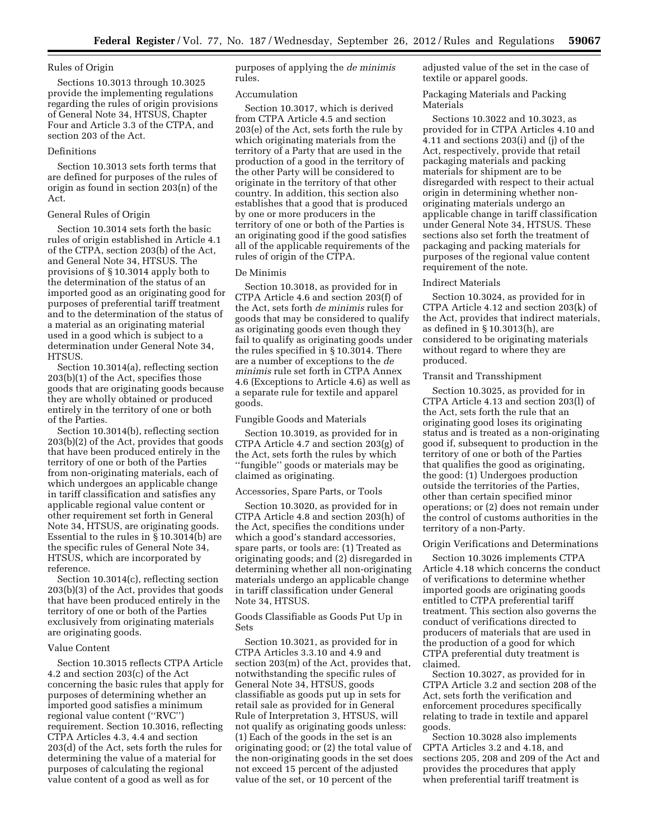## Rules of Origin

Sections 10.3013 through 10.3025 provide the implementing regulations regarding the rules of origin provisions of General Note 34, HTSUS, Chapter Four and Article 3.3 of the CTPA, and section 203 of the Act.

## Definitions

Section 10.3013 sets forth terms that are defined for purposes of the rules of origin as found in section 203(n) of the Act.

## General Rules of Origin

Section 10.3014 sets forth the basic rules of origin established in Article 4.1 of the CTPA, section 203(b) of the Act, and General Note 34, HTSUS. The provisions of § 10.3014 apply both to the determination of the status of an imported good as an originating good for purposes of preferential tariff treatment and to the determination of the status of a material as an originating material used in a good which is subject to a determination under General Note 34, HTSUS.

Section 10.3014(a), reflecting section 203(b)(1) of the Act, specifies those goods that are originating goods because they are wholly obtained or produced entirely in the territory of one or both of the Parties.

Section 10.3014(b), reflecting section 203(b)(2) of the Act, provides that goods that have been produced entirely in the territory of one or both of the Parties from non-originating materials, each of which undergoes an applicable change in tariff classification and satisfies any applicable regional value content or other requirement set forth in General Note 34, HTSUS, are originating goods. Essential to the rules in § 10.3014(b) are the specific rules of General Note 34, HTSUS, which are incorporated by reference.

Section 10.3014(c), reflecting section 203(b)(3) of the Act, provides that goods that have been produced entirely in the territory of one or both of the Parties exclusively from originating materials are originating goods.

## Value Content

Section 10.3015 reflects CTPA Article 4.2 and section 203(c) of the Act concerning the basic rules that apply for purposes of determining whether an imported good satisfies a minimum regional value content (''RVC'') requirement. Section 10.3016, reflecting CTPA Articles 4.3, 4.4 and section 203(d) of the Act, sets forth the rules for determining the value of a material for purposes of calculating the regional value content of a good as well as for

purposes of applying the *de minimis*  rules.

## Accumulation

Section 10.3017, which is derived from CTPA Article 4.5 and section 203(e) of the Act, sets forth the rule by which originating materials from the territory of a Party that are used in the production of a good in the territory of the other Party will be considered to originate in the territory of that other country. In addition, this section also establishes that a good that is produced by one or more producers in the territory of one or both of the Parties is an originating good if the good satisfies all of the applicable requirements of the rules of origin of the CTPA.

### De Minimis

Section 10.3018, as provided for in CTPA Article 4.6 and section 203(f) of the Act, sets forth *de minimis* rules for goods that may be considered to qualify as originating goods even though they fail to qualify as originating goods under the rules specified in § 10.3014. There are a number of exceptions to the *de minimis* rule set forth in CTPA Annex 4.6 (Exceptions to Article 4.6) as well as a separate rule for textile and apparel goods.

### Fungible Goods and Materials

Section 10.3019, as provided for in CTPA Article 4.7 and section 203(g) of the Act, sets forth the rules by which ''fungible'' goods or materials may be claimed as originating.

#### Accessories, Spare Parts, or Tools

Section 10.3020, as provided for in CTPA Article 4.8 and section 203(h) of the Act, specifies the conditions under which a good's standard accessories, spare parts, or tools are: (1) Treated as originating goods; and (2) disregarded in determining whether all non-originating materials undergo an applicable change in tariff classification under General Note 34, HTSUS.

Goods Classifiable as Goods Put Up in Sets

Section 10.3021, as provided for in CTPA Articles 3.3.10 and 4.9 and section 203(m) of the Act, provides that, notwithstanding the specific rules of General Note 34, HTSUS, goods classifiable as goods put up in sets for retail sale as provided for in General Rule of Interpretation 3, HTSUS, will not qualify as originating goods unless: (1) Each of the goods in the set is an originating good; or (2) the total value of the non-originating goods in the set does not exceed 15 percent of the adjusted value of the set, or 10 percent of the

adjusted value of the set in the case of textile or apparel goods.

Packaging Materials and Packing Materials

Sections 10.3022 and 10.3023, as provided for in CTPA Articles 4.10 and 4.11 and sections 203(i) and (j) of the Act, respectively, provide that retail packaging materials and packing materials for shipment are to be disregarded with respect to their actual origin in determining whether nonoriginating materials undergo an applicable change in tariff classification under General Note 34, HTSUS. These sections also set forth the treatment of packaging and packing materials for purposes of the regional value content requirement of the note.

#### Indirect Materials

Section 10.3024, as provided for in CTPA Article 4.12 and section 203(k) of the Act, provides that indirect materials, as defined in § 10.3013(h), are considered to be originating materials without regard to where they are produced.

## Transit and Transshipment

Section 10.3025, as provided for in CTPA Article 4.13 and section 203(l) of the Act, sets forth the rule that an originating good loses its originating status and is treated as a non-originating good if, subsequent to production in the territory of one or both of the Parties that qualifies the good as originating, the good: (1) Undergoes production outside the territories of the Parties, other than certain specified minor operations; or (2) does not remain under the control of customs authorities in the territory of a non-Party.

#### Origin Verifications and Determinations

Section 10.3026 implements CTPA Article 4.18 which concerns the conduct of verifications to determine whether imported goods are originating goods entitled to CTPA preferential tariff treatment. This section also governs the conduct of verifications directed to producers of materials that are used in the production of a good for which CTPA preferential duty treatment is claimed.

Section 10.3027, as provided for in CTPA Article 3.2 and section 208 of the Act, sets forth the verification and enforcement procedures specifically relating to trade in textile and apparel goods.

Section 10.3028 also implements CPTA Articles 3.2 and 4.18, and sections 205, 208 and 209 of the Act and provides the procedures that apply when preferential tariff treatment is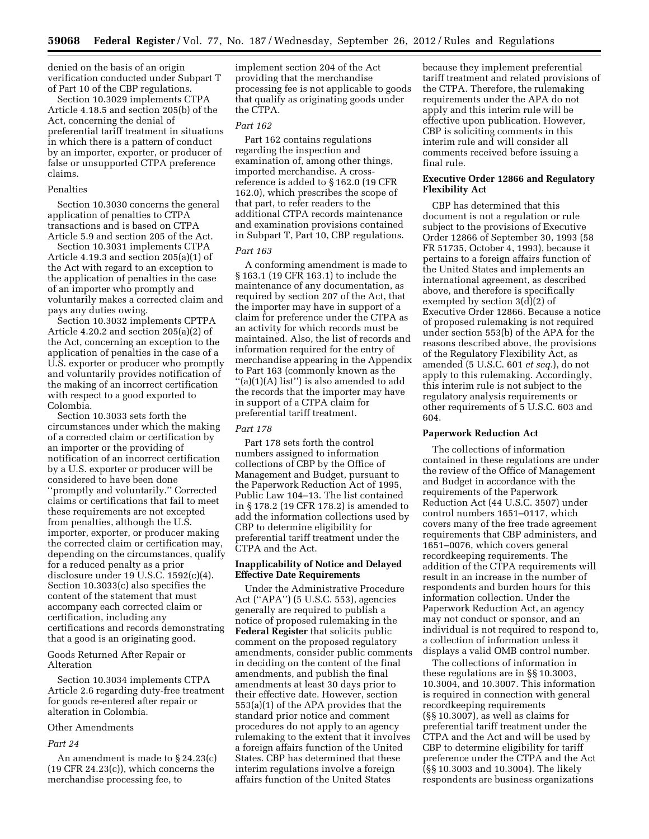denied on the basis of an origin verification conducted under Subpart T of Part 10 of the CBP regulations.

Section 10.3029 implements CTPA Article 4.18.5 and section 205(b) of the Act, concerning the denial of preferential tariff treatment in situations in which there is a pattern of conduct by an importer, exporter, or producer of false or unsupported CTPA preference claims.

## Penalties

Section 10.3030 concerns the general application of penalties to CTPA transactions and is based on CTPA Article 5.9 and section 205 of the Act.

Section 10.3031 implements CTPA Article 4.19.3 and section 205(a)(1) of the Act with regard to an exception to the application of penalties in the case of an importer who promptly and voluntarily makes a corrected claim and pays any duties owing.

Section 10.3032 implements CPTPA Article 4.20.2 and section 205(a)(2) of the Act, concerning an exception to the application of penalties in the case of a U.S. exporter or producer who promptly and voluntarily provides notification of the making of an incorrect certification with respect to a good exported to Colombia.

Section 10.3033 sets forth the circumstances under which the making of a corrected claim or certification by an importer or the providing of notification of an incorrect certification by a U.S. exporter or producer will be considered to have been done ''promptly and voluntarily.'' Corrected claims or certifications that fail to meet these requirements are not excepted from penalties, although the U.S. importer, exporter, or producer making the corrected claim or certification may, depending on the circumstances, qualify for a reduced penalty as a prior disclosure under 19 U.S.C. 1592(c)(4). Section 10.3033(c) also specifies the content of the statement that must accompany each corrected claim or certification, including any certifications and records demonstrating that a good is an originating good.

Goods Returned After Repair or Alteration

Section 10.3034 implements CTPA Article 2.6 regarding duty-free treatment for goods re-entered after repair or alteration in Colombia.

## Other Amendments

## *Part 24*

An amendment is made to § 24.23(c) (19 CFR 24.23(c)), which concerns the merchandise processing fee, to

implement section 204 of the Act providing that the merchandise processing fee is not applicable to goods that qualify as originating goods under the CTPA.

#### *Part 162*

Part 162 contains regulations regarding the inspection and examination of, among other things, imported merchandise. A crossreference is added to § 162.0 (19 CFR 162.0), which prescribes the scope of that part, to refer readers to the additional CTPA records maintenance and examination provisions contained in Subpart T, Part 10, CBP regulations.

#### *Part 163*

A conforming amendment is made to § 163.1 (19 CFR 163.1) to include the maintenance of any documentation, as required by section 207 of the Act, that the importer may have in support of a claim for preference under the CTPA as an activity for which records must be maintained. Also, the list of records and information required for the entry of merchandise appearing in the Appendix to Part 163 (commonly known as the ''(a)(1)(A) list'') is also amended to add the records that the importer may have in support of a CTPA claim for preferential tariff treatment.

### *Part 178*

Part 178 sets forth the control numbers assigned to information collections of CBP by the Office of Management and Budget, pursuant to the Paperwork Reduction Act of 1995, Public Law 104–13. The list contained in § 178.2 (19 CFR 178.2) is amended to add the information collections used by CBP to determine eligibility for preferential tariff treatment under the CTPA and the Act.

## **Inapplicability of Notice and Delayed Effective Date Requirements**

Under the Administrative Procedure Act (''APA'') (5 U.S.C. 553), agencies generally are required to publish a notice of proposed rulemaking in the **Federal Register** that solicits public comment on the proposed regulatory amendments, consider public comments in deciding on the content of the final amendments, and publish the final amendments at least 30 days prior to their effective date. However, section 553(a)(1) of the APA provides that the standard prior notice and comment procedures do not apply to an agency rulemaking to the extent that it involves a foreign affairs function of the United States. CBP has determined that these interim regulations involve a foreign affairs function of the United States

because they implement preferential tariff treatment and related provisions of the CTPA. Therefore, the rulemaking requirements under the APA do not apply and this interim rule will be effective upon publication. However, CBP is soliciting comments in this interim rule and will consider all comments received before issuing a final rule.

## **Executive Order 12866 and Regulatory Flexibility Act**

CBP has determined that this document is not a regulation or rule subject to the provisions of Executive Order 12866 of September 30, 1993 (58 FR 51735, October 4, 1993), because it pertains to a foreign affairs function of the United States and implements an international agreement, as described above, and therefore is specifically exempted by section 3(d)(2) of Executive Order 12866. Because a notice of proposed rulemaking is not required under section 553(b) of the APA for the reasons described above, the provisions of the Regulatory Flexibility Act, as amended (5 U.S.C. 601 *et seq.*), do not apply to this rulemaking. Accordingly, this interim rule is not subject to the regulatory analysis requirements or other requirements of 5 U.S.C. 603 and 604.

## **Paperwork Reduction Act**

The collections of information contained in these regulations are under the review of the Office of Management and Budget in accordance with the requirements of the Paperwork Reduction Act (44 U.S.C. 3507) under control numbers 1651–0117, which covers many of the free trade agreement requirements that CBP administers, and 1651–0076, which covers general recordkeeping requirements. The addition of the CTPA requirements will result in an increase in the number of respondents and burden hours for this information collection. Under the Paperwork Reduction Act, an agency may not conduct or sponsor, and an individual is not required to respond to, a collection of information unless it displays a valid OMB control number.

The collections of information in these regulations are in §§ 10.3003, 10.3004, and 10.3007. This information is required in connection with general recordkeeping requirements (§§ 10.3007), as well as claims for preferential tariff treatment under the CTPA and the Act and will be used by CBP to determine eligibility for tariff preference under the CTPA and the Act (§§ 10.3003 and 10.3004). The likely respondents are business organizations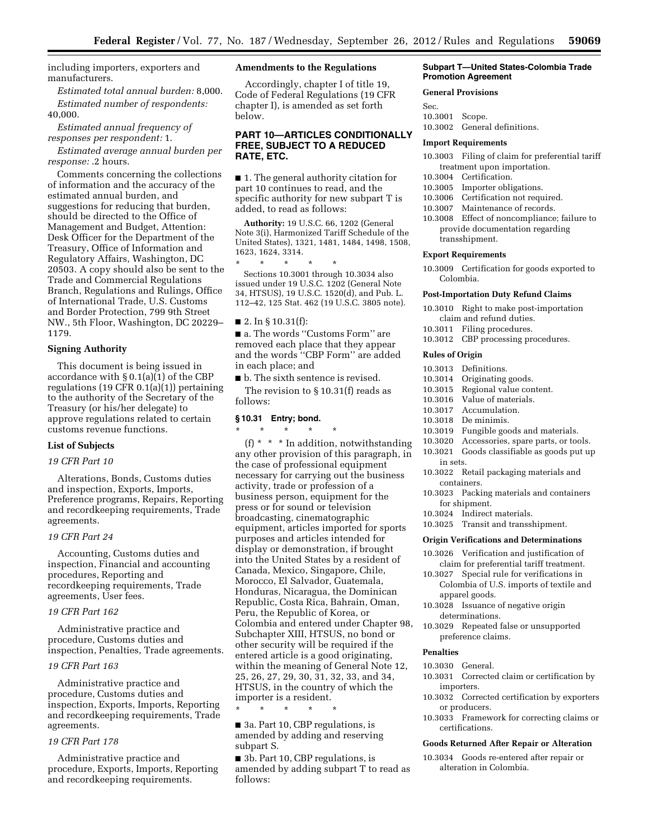including importers, exporters and manufacturers.

*Estimated total annual burden:* 8,000. *Estimated number of respondents:*  40,000.

*Estimated annual frequency of responses per respondent:* 1.

*Estimated average annual burden per response:* .2 hours.

Comments concerning the collections of information and the accuracy of the estimated annual burden, and suggestions for reducing that burden, should be directed to the Office of Management and Budget, Attention: Desk Officer for the Department of the Treasury, Office of Information and Regulatory Affairs, Washington, DC 20503. A copy should also be sent to the Trade and Commercial Regulations Branch, Regulations and Rulings, Office of International Trade, U.S. Customs and Border Protection, 799 9th Street NW., 5th Floor, Washington, DC 20229– 1179.

#### **Signing Authority**

This document is being issued in accordance with § 0.1(a)(1) of the CBP regulations (19 CFR 0.1(a)(1)) pertaining to the authority of the Secretary of the Treasury (or his/her delegate) to approve regulations related to certain customs revenue functions.

### **List of Subjects**

## *19 CFR Part 10*

Alterations, Bonds, Customs duties and inspection, Exports, Imports, Preference programs, Repairs, Reporting and recordkeeping requirements, Trade agreements.

#### *19 CFR Part 24*

Accounting, Customs duties and inspection, Financial and accounting procedures, Reporting and recordkeeping requirements, Trade agreements, User fees.

## *19 CFR Part 162*

Administrative practice and procedure, Customs duties and inspection, Penalties, Trade agreements.

## *19 CFR Part 163*

Administrative practice and procedure, Customs duties and inspection, Exports, Imports, Reporting and recordkeeping requirements, Trade agreements.

#### *19 CFR Part 178*

Administrative practice and procedure, Exports, Imports, Reporting and recordkeeping requirements.

## **Amendments to the Regulations**

Accordingly, chapter I of title 19, Code of Federal Regulations (19 CFR chapter I), is amended as set forth below.

## **PART 10—ARTICLES CONDITIONALLY FREE, SUBJECT TO A REDUCED RATE, ETC.**

■ 1. The general authority citation for part 10 continues to read, and the specific authority for new subpart T is added, to read as follows:

**Authority:** 19 U.S.C. 66, 1202 (General Note 3(i), Harmonized Tariff Schedule of the United States), 1321, 1481, 1484, 1498, 1508, 1623, 1624, 3314.

\* \* \* \* \* Sections 10.3001 through 10.3034 also issued under 19 U.S.C. 1202 (General Note 34, HTSUS), 19 U.S.C. 1520(d), and Pub. L. 112–42, 125 Stat. 462 (19 U.S.C. 3805 note).

■ 2. In § 10.31(f):

■ a. The words "Customs Form" are removed each place that they appear and the words ''CBP Form'' are added in each place; and

■ b. The sixth sentence is revised.

The revision to § 10.31(f) reads as follows:

### **§ 10.31 Entry; bond.**

\* \* \* \* \* (f) \* \* \* In addition, notwithstanding any other provision of this paragraph, in the case of professional equipment necessary for carrying out the business activity, trade or profession of a business person, equipment for the press or for sound or television broadcasting, cinematographic equipment, articles imported for sports purposes and articles intended for display or demonstration, if brought into the United States by a resident of Canada, Mexico, Singapore, Chile, Morocco, El Salvador, Guatemala, Honduras, Nicaragua, the Dominican Republic, Costa Rica, Bahrain, Oman, Peru, the Republic of Korea, or Colombia and entered under Chapter 98, Subchapter XIII, HTSUS, no bond or other security will be required if the entered article is a good originating, within the meaning of General Note 12, 25, 26, 27, 29, 30, 31, 32, 33, and 34, HTSUS, in the country of which the importer is a resident.

■ 3a. Part 10, CBP regulations, is amended by adding and reserving subpart S.

\* \* \* \* \*

■ 3b. Part 10, CBP regulations, is amended by adding subpart T to read as follows:

#### **Subpart T—United States-Colombia Trade Promotion Agreement**

#### **General Provisions**

Sec. 10.3001 Scope. 10.3002 General definitions.

#### **Import Requirements**

- 10.3003 Filing of claim for preferential tariff treatment upon importation.
- 10.3004 Certification.
- 10.3005 Importer obligations.
- 10.3006 Certification not required.
- 10.3007 Maintenance of records.
- 10.3008 Effect of noncompliance; failure to provide documentation regarding transshipment.

#### **Export Requirements**

10.3009 Certification for goods exported to Colombia.

#### **Post-Importation Duty Refund Claims**

10.3010 Right to make post-importation claim and refund duties.

- 10.3011 Filing procedures.
- 10.3012 CBP processing procedures.

## **Rules of Origin**

- 10.3013 Definitions.
- 10.3014 Originating goods.
- 10.3015 Regional value content.
- 10.3016 Value of materials.
- 10.3017 Accumulation.
- 10.3018 De minimis.
- 10.3019 Fungible goods and materials.
- 10.3020 Accessories, spare parts, or tools.
- 10.3021 Goods classifiable as goods put up in sets.
- 10.3022 Retail packaging materials and containers.
- 10.3023 Packing materials and containers for shipment.
- 10.3024 Indirect materials.
- 10.3025 Transit and transshipment.

#### **Origin Verifications and Determinations**

- 10.3026 Verification and justification of claim for preferential tariff treatment.
- 10.3027 Special rule for verifications in Colombia of U.S. imports of textile and apparel goods.
- 10.3028 Issuance of negative origin determinations.
- 10.3029 Repeated false or unsupported preference claims.

## **Penalties**

- 10.3030 General.
- 10.3031 Corrected claim or certification by importers.
- 10.3032 Corrected certification by exporters or producers.
- 10.3033 Framework for correcting claims or certifications.

### **Goods Returned After Repair or Alteration**

10.3034 Goods re-entered after repair or alteration in Colombia.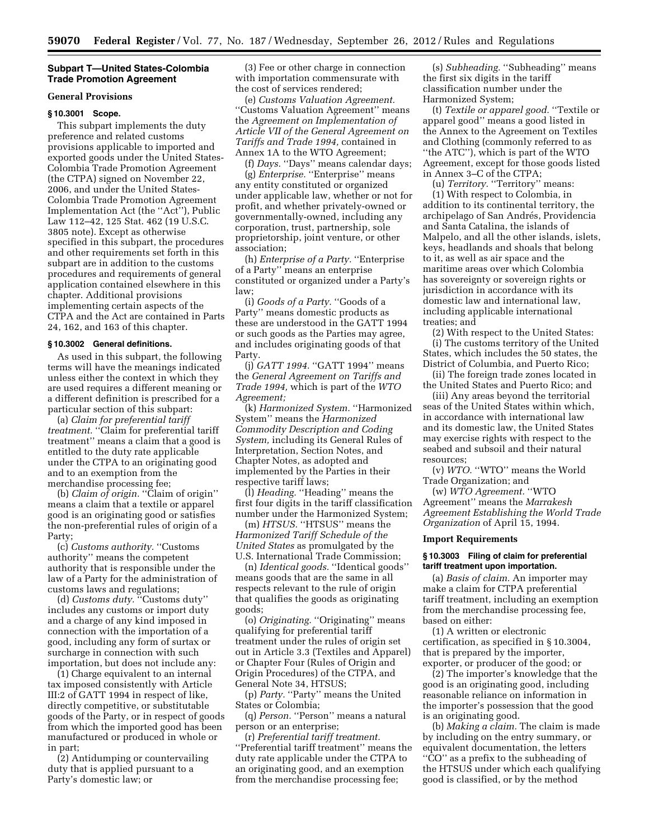## **Subpart T—United States-Colombia Trade Promotion Agreement**

### **General Provisions**

#### **§ 10.3001 Scope.**

This subpart implements the duty preference and related customs provisions applicable to imported and exported goods under the United States-Colombia Trade Promotion Agreement (the CTPA) signed on November 22, 2006, and under the United States-Colombia Trade Promotion Agreement Implementation Act (the ''Act''), Public Law 112–42, 125 Stat. 462 (19 U.S.C. 3805 note). Except as otherwise specified in this subpart, the procedures and other requirements set forth in this subpart are in addition to the customs procedures and requirements of general application contained elsewhere in this chapter. Additional provisions implementing certain aspects of the CTPA and the Act are contained in Parts 24, 162, and 163 of this chapter.

## **§ 10.3002 General definitions.**

As used in this subpart, the following terms will have the meanings indicated unless either the context in which they are used requires a different meaning or a different definition is prescribed for a particular section of this subpart:

(a) *Claim for preferential tariff treatment.* ''Claim for preferential tariff treatment'' means a claim that a good is entitled to the duty rate applicable under the CTPA to an originating good and to an exemption from the merchandise processing fee;

(b) *Claim of origin.* ''Claim of origin'' means a claim that a textile or apparel good is an originating good or satisfies the non-preferential rules of origin of a Party;

(c) *Customs authority.* ''Customs authority'' means the competent authority that is responsible under the law of a Party for the administration of customs laws and regulations;

(d) *Customs duty.* ''Customs duty'' includes any customs or import duty and a charge of any kind imposed in connection with the importation of a good, including any form of surtax or surcharge in connection with such importation, but does not include any:

(1) Charge equivalent to an internal tax imposed consistently with Article III:2 of GATT 1994 in respect of like, directly competitive, or substitutable goods of the Party, or in respect of goods from which the imported good has been manufactured or produced in whole or in part;

(2) Antidumping or countervailing duty that is applied pursuant to a Party's domestic law; or

(3) Fee or other charge in connection with importation commensurate with the cost of services rendered;

(e) *Customs Valuation Agreement.*  ''Customs Valuation Agreement'' means the *Agreement on Implementation of Article VII of the General Agreement on Tariffs and Trade 1994,* contained in Annex 1A to the WTO Agreement;

(f) *Days.* ''Days'' means calendar days; (g) *Enterprise.* ''Enterprise'' means any entity constituted or organized under applicable law, whether or not for profit, and whether privately-owned or governmentally-owned, including any corporation, trust, partnership, sole proprietorship, joint venture, or other association;

(h) *Enterprise of a Party.* ''Enterprise of a Party'' means an enterprise constituted or organized under a Party's law;

(i) *Goods of a Party.* ''Goods of a Party'' means domestic products as these are understood in the GATT 1994 or such goods as the Parties may agree, and includes originating goods of that Party.

(j) *GATT 1994.* "GATT 1994" means the *General Agreement on Tariffs and Trade 1994,* which is part of the *WTO Agreement;* 

(k) *Harmonized System.* ''Harmonized System'' means the *Harmonized Commodity Description and Coding System,* including its General Rules of Interpretation, Section Notes, and Chapter Notes, as adopted and implemented by the Parties in their respective tariff laws;

(l) *Heading.* ''Heading'' means the first four digits in the tariff classification number under the Harmonized System;

(m) HTSUS. "HTSUS" means the *Harmonized Tariff Schedule of the United States* as promulgated by the U.S. International Trade Commission;

(n) *Identical goods.* ''Identical goods'' means goods that are the same in all respects relevant to the rule of origin that qualifies the goods as originating goods;

(o) *Originating.* ''Originating'' means qualifying for preferential tariff treatment under the rules of origin set out in Article 3.3 (Textiles and Apparel) or Chapter Four (Rules of Origin and Origin Procedures) of the CTPA, and General Note 34, HTSUS;

(p) *Party.* "Party" means the United States or Colombia;

(q) *Person.* "Person" means a natural person or an enterprise;

(r) *Preferential tariff treatment.*  ''Preferential tariff treatment'' means the duty rate applicable under the CTPA to an originating good, and an exemption from the merchandise processing fee;

(s) *Subheading.* "Subheading" means the first six digits in the tariff classification number under the Harmonized System;

(t) *Textile or apparel good.* ''Textile or apparel good'' means a good listed in the Annex to the Agreement on Textiles and Clothing (commonly referred to as ''the ATC''), which is part of the WTO Agreement, except for those goods listed in Annex 3–C of the CTPA;

(u) *Territory.* ''Territory'' means: (1) With respect to Colombia, in addition to its continental territory, the archipelago of San Andrés, Providencia and Santa Catalina, the islands of Malpelo, and all the other islands, islets, keys, headlands and shoals that belong to it, as well as air space and the maritime areas over which Colombia has sovereignty or sovereign rights or jurisdiction in accordance with its domestic law and international law, including applicable international treaties; and

(2) With respect to the United States: (i) The customs territory of the United States, which includes the 50 states, the District of Columbia, and Puerto Rico;

(ii) The foreign trade zones located in the United States and Puerto Rico; and

(iii) Any areas beyond the territorial seas of the United States within which, in accordance with international law and its domestic law, the United States may exercise rights with respect to the seabed and subsoil and their natural resources;

(v) *WTO.* ''WTO'' means the World Trade Organization; and

(w) *WTO Agreement.* ''WTO Agreement'' means the *Marrakesh Agreement Establishing the World Trade Organization* of April 15, 1994.

#### **Import Requirements**

## **§ 10.3003 Filing of claim for preferential tariff treatment upon importation.**

(a) *Basis of claim.* An importer may make a claim for CTPA preferential tariff treatment, including an exemption from the merchandise processing fee, based on either:

(1) A written or electronic certification, as specified in § 10.3004, that is prepared by the importer, exporter, or producer of the good; or

(2) The importer's knowledge that the good is an originating good, including reasonable reliance on information in the importer's possession that the good is an originating good.

(b) *Making a claim.* The claim is made by including on the entry summary, or equivalent documentation, the letters ''CO'' as a prefix to the subheading of the HTSUS under which each qualifying good is classified, or by the method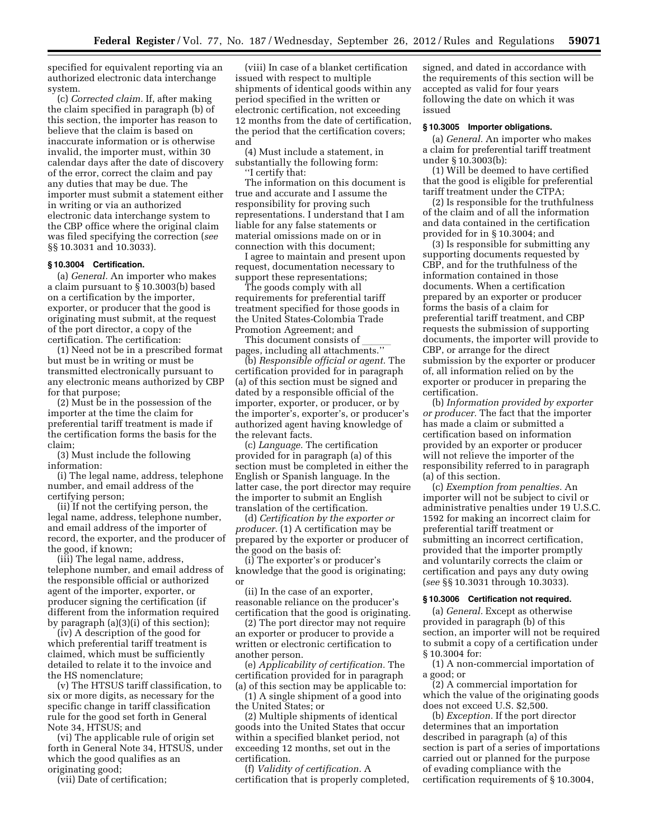specified for equivalent reporting via an authorized electronic data interchange system.

(c) *Corrected claim.* If, after making the claim specified in paragraph (b) of this section, the importer has reason to believe that the claim is based on inaccurate information or is otherwise invalid, the importer must, within 30 calendar days after the date of discovery of the error, correct the claim and pay any duties that may be due. The importer must submit a statement either in writing or via an authorized electronic data interchange system to the CBP office where the original claim was filed specifying the correction (*see*  §§ 10.3031 and 10.3033).

#### **§ 10.3004 Certification.**

(a) *General.* An importer who makes a claim pursuant to § 10.3003(b) based on a certification by the importer, exporter, or producer that the good is originating must submit, at the request of the port director, a copy of the certification. The certification:

(1) Need not be in a prescribed format but must be in writing or must be transmitted electronically pursuant to any electronic means authorized by CBP for that purpose;

(2) Must be in the possession of the importer at the time the claim for preferential tariff treatment is made if the certification forms the basis for the claim;

(3) Must include the following information:

(i) The legal name, address, telephone number, and email address of the certifying person;

(ii) If not the certifying person, the legal name, address, telephone number, and email address of the importer of record, the exporter, and the producer of the good, if known;

(iii) The legal name, address, telephone number, and email address of the responsible official or authorized agent of the importer, exporter, or producer signing the certification (if different from the information required by paragraph (a)(3)(i) of this section);

(iv) A description of the good for which preferential tariff treatment is claimed, which must be sufficiently detailed to relate it to the invoice and the HS nomenclature;

(v) The HTSUS tariff classification, to six or more digits, as necessary for the specific change in tariff classification rule for the good set forth in General Note 34, HTSUS; and

(vi) The applicable rule of origin set forth in General Note 34, HTSUS, under which the good qualifies as an originating good;

(vii) Date of certification;

(viii) In case of a blanket certification issued with respect to multiple shipments of identical goods within any period specified in the written or electronic certification, not exceeding 12 months from the date of certification, the period that the certification covers; and

(4) Must include a statement, in substantially the following form: ''I certify that:

The information on this document is true and accurate and I assume the responsibility for proving such representations. I understand that I am liable for any false statements or material omissions made on or in connection with this document;

I agree to maintain and present upon request, documentation necessary to support these representations;

The goods comply with all requirements for preferential tariff treatment specified for those goods in the United States-Colombia Trade Promotion Agreement; and

This document consists of  $\frac{1}{2}$  pages, including all attachments.''

(b) *Responsible official or agent.* The certification provided for in paragraph (a) of this section must be signed and dated by a responsible official of the importer, exporter, or producer, or by the importer's, exporter's, or producer's authorized agent having knowledge of the relevant facts.

(c) *Language.* The certification provided for in paragraph (a) of this section must be completed in either the English or Spanish language. In the latter case, the port director may require the importer to submit an English translation of the certification.

(d) *Certification by the exporter or producer.* (1) A certification may be prepared by the exporter or producer of the good on the basis of:

(i) The exporter's or producer's knowledge that the good is originating; or

(ii) In the case of an exporter, reasonable reliance on the producer's certification that the good is originating.

(2) The port director may not require an exporter or producer to provide a written or electronic certification to another person.

(e) *Applicability of certification.* The certification provided for in paragraph (a) of this section may be applicable to:

(1) A single shipment of a good into the United States; or

(2) Multiple shipments of identical goods into the United States that occur within a specified blanket period, not exceeding 12 months, set out in the certification.

(f) *Validity of certification.* A certification that is properly completed, signed, and dated in accordance with the requirements of this section will be accepted as valid for four years following the date on which it was issued

## **§ 10.3005 Importer obligations.**

(a) *General.* An importer who makes a claim for preferential tariff treatment under § 10.3003(b):

(1) Will be deemed to have certified that the good is eligible for preferential tariff treatment under the CTPA;

(2) Is responsible for the truthfulness of the claim and of all the information and data contained in the certification provided for in § 10.3004; and

(3) Is responsible for submitting any supporting documents requested by CBP, and for the truthfulness of the information contained in those documents. When a certification prepared by an exporter or producer forms the basis of a claim for preferential tariff treatment, and CBP requests the submission of supporting documents, the importer will provide to CBP, or arrange for the direct submission by the exporter or producer of, all information relied on by the exporter or producer in preparing the certification.

(b) *Information provided by exporter or producer.* The fact that the importer has made a claim or submitted a certification based on information provided by an exporter or producer will not relieve the importer of the responsibility referred to in paragraph (a) of this section.

(c) *Exemption from penalties.* An importer will not be subject to civil or administrative penalties under 19 U.S.C. 1592 for making an incorrect claim for preferential tariff treatment or submitting an incorrect certification, provided that the importer promptly and voluntarily corrects the claim or certification and pays any duty owing (*see* §§ 10.3031 through 10.3033).

## **§ 10.3006 Certification not required.**

(a) *General.* Except as otherwise provided in paragraph (b) of this section, an importer will not be required to submit a copy of a certification under § 10.3004 for:

(1) A non-commercial importation of a good; or

(2) A commercial importation for which the value of the originating goods does not exceed U.S. \$2,500.

(b) *Exception.* If the port director determines that an importation described in paragraph (a) of this section is part of a series of importations carried out or planned for the purpose of evading compliance with the certification requirements of § 10.3004,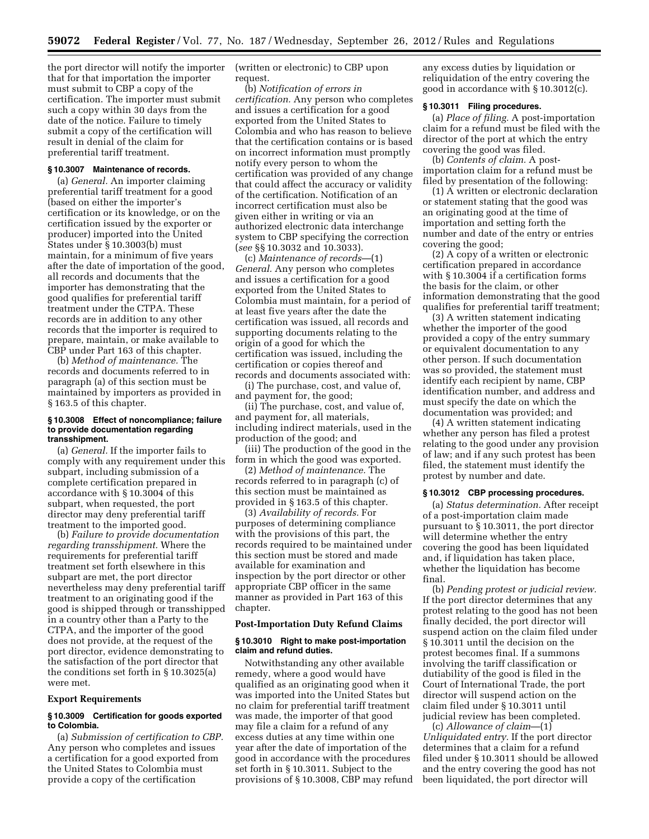the port director will notify the importer that for that importation the importer must submit to CBP a copy of the certification. The importer must submit such a copy within 30 days from the date of the notice. Failure to timely submit a copy of the certification will result in denial of the claim for preferential tariff treatment.

## **§ 10.3007 Maintenance of records.**

(a) *General.* An importer claiming preferential tariff treatment for a good (based on either the importer's certification or its knowledge, or on the certification issued by the exporter or producer) imported into the United States under § 10.3003(b) must maintain, for a minimum of five years after the date of importation of the good, all records and documents that the importer has demonstrating that the good qualifies for preferential tariff treatment under the CTPA. These records are in addition to any other records that the importer is required to prepare, maintain, or make available to CBP under Part 163 of this chapter.

(b) *Method of maintenance.* The records and documents referred to in paragraph (a) of this section must be maintained by importers as provided in § 163.5 of this chapter.

#### **§ 10.3008 Effect of noncompliance; failure to provide documentation regarding transshipment.**

(a) *General.* If the importer fails to comply with any requirement under this subpart, including submission of a complete certification prepared in accordance with § 10.3004 of this subpart, when requested, the port director may deny preferential tariff treatment to the imported good.

(b) *Failure to provide documentation regarding transshipment.* Where the requirements for preferential tariff treatment set forth elsewhere in this subpart are met, the port director nevertheless may deny preferential tariff treatment to an originating good if the good is shipped through or transshipped in a country other than a Party to the CTPA, and the importer of the good does not provide, at the request of the port director, evidence demonstrating to the satisfaction of the port director that the conditions set forth in § 10.3025(a) were met.

#### **Export Requirements**

## **§ 10.3009 Certification for goods exported to Colombia.**

(a) *Submission of certification to CBP.*  Any person who completes and issues a certification for a good exported from the United States to Colombia must provide a copy of the certification

(written or electronic) to CBP upon request.

(b) *Notification of errors in certification.* Any person who completes and issues a certification for a good exported from the United States to Colombia and who has reason to believe that the certification contains or is based on incorrect information must promptly notify every person to whom the certification was provided of any change that could affect the accuracy or validity of the certification. Notification of an incorrect certification must also be given either in writing or via an authorized electronic data interchange system to CBP specifying the correction (*see* §§ 10.3032 and 10.3033).

(c) *Maintenance of records*—(1) *General.* Any person who completes and issues a certification for a good exported from the United States to Colombia must maintain, for a period of at least five years after the date the certification was issued, all records and supporting documents relating to the origin of a good for which the certification was issued, including the certification or copies thereof and records and documents associated with:

(i) The purchase, cost, and value of, and payment for, the good;

(ii) The purchase, cost, and value of, and payment for, all materials, including indirect materials, used in the production of the good; and

(iii) The production of the good in the form in which the good was exported.

(2) *Method of maintenance.* The records referred to in paragraph (c) of this section must be maintained as provided in § 163.5 of this chapter.

(3) *Availability of records.* For purposes of determining compliance with the provisions of this part, the records required to be maintained under this section must be stored and made available for examination and inspection by the port director or other appropriate CBP officer in the same manner as provided in Part 163 of this chapter.

## **Post-Importation Duty Refund Claims**

#### **§ 10.3010 Right to make post-importation claim and refund duties.**

Notwithstanding any other available remedy, where a good would have qualified as an originating good when it was imported into the United States but no claim for preferential tariff treatment was made, the importer of that good may file a claim for a refund of any excess duties at any time within one year after the date of importation of the good in accordance with the procedures set forth in § 10.3011. Subject to the provisions of § 10.3008, CBP may refund any excess duties by liquidation or reliquidation of the entry covering the good in accordance with § 10.3012(c).

#### **§ 10.3011 Filing procedures.**

(a) *Place of filing.* A post-importation claim for a refund must be filed with the director of the port at which the entry covering the good was filed.

(b) *Contents of claim.* A postimportation claim for a refund must be filed by presentation of the following:

(1) A written or electronic declaration or statement stating that the good was an originating good at the time of importation and setting forth the number and date of the entry or entries covering the good;

(2) A copy of a written or electronic certification prepared in accordance with § 10.3004 if a certification forms the basis for the claim, or other information demonstrating that the good qualifies for preferential tariff treatment;

(3) A written statement indicating whether the importer of the good provided a copy of the entry summary or equivalent documentation to any other person. If such documentation was so provided, the statement must identify each recipient by name, CBP identification number, and address and must specify the date on which the documentation was provided; and

(4) A written statement indicating whether any person has filed a protest relating to the good under any provision of law; and if any such protest has been filed, the statement must identify the protest by number and date.

#### **§ 10.3012 CBP processing procedures.**

(a) *Status determination.* After receipt of a post-importation claim made pursuant to § 10.3011, the port director will determine whether the entry covering the good has been liquidated and, if liquidation has taken place, whether the liquidation has become final.

(b) *Pending protest or judicial review.*  If the port director determines that any protest relating to the good has not been finally decided, the port director will suspend action on the claim filed under § 10.3011 until the decision on the protest becomes final. If a summons involving the tariff classification or dutiability of the good is filed in the Court of International Trade, the port director will suspend action on the claim filed under § 10.3011 until judicial review has been completed.

(c) *Allowance of claim*—(1) *Unliquidated entry.* If the port director determines that a claim for a refund filed under § 10.3011 should be allowed and the entry covering the good has not been liquidated, the port director will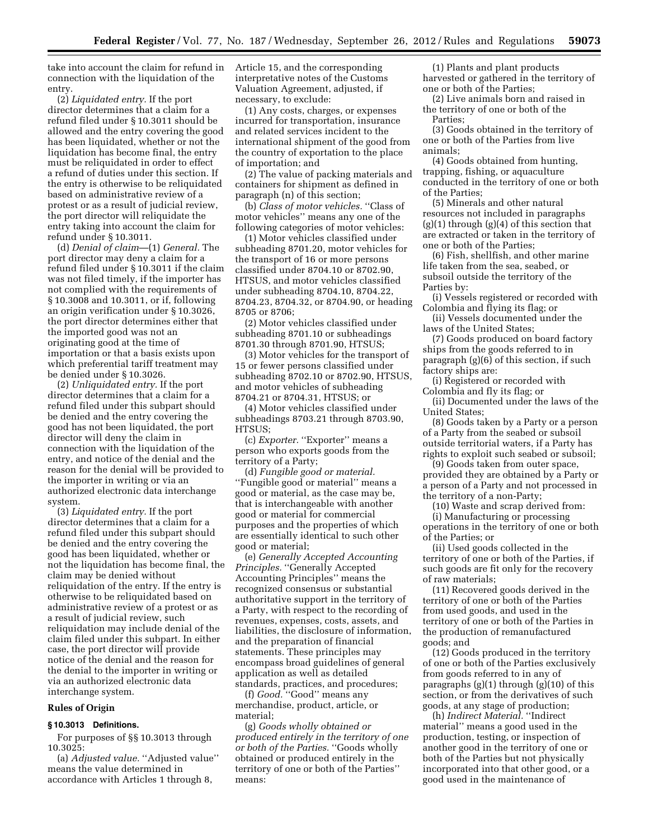take into account the claim for refund in connection with the liquidation of the entry.

(2) *Liquidated entry.* If the port director determines that a claim for a refund filed under § 10.3011 should be allowed and the entry covering the good has been liquidated, whether or not the liquidation has become final, the entry must be reliquidated in order to effect a refund of duties under this section. If the entry is otherwise to be reliquidated based on administrative review of a protest or as a result of judicial review, the port director will reliquidate the entry taking into account the claim for refund under § 10.3011.

(d) *Denial of claim*—(1) *General.* The port director may deny a claim for a refund filed under § 10.3011 if the claim was not filed timely, if the importer has not complied with the requirements of § 10.3008 and 10.3011, or if, following an origin verification under § 10.3026, the port director determines either that the imported good was not an originating good at the time of importation or that a basis exists upon which preferential tariff treatment may be denied under § 10.3026.

(2) *Unliquidated entry.* If the port director determines that a claim for a refund filed under this subpart should be denied and the entry covering the good has not been liquidated, the port director will deny the claim in connection with the liquidation of the entry, and notice of the denial and the reason for the denial will be provided to the importer in writing or via an authorized electronic data interchange system.

(3) *Liquidated entry.* If the port director determines that a claim for a refund filed under this subpart should be denied and the entry covering the good has been liquidated, whether or not the liquidation has become final, the claim may be denied without reliquidation of the entry. If the entry is otherwise to be reliquidated based on administrative review of a protest or as a result of judicial review, such reliquidation may include denial of the claim filed under this subpart. In either case, the port director will provide notice of the denial and the reason for the denial to the importer in writing or via an authorized electronic data interchange system.

### **Rules of Origin**

## **§ 10.3013 Definitions.**

For purposes of §§ 10.3013 through 10.3025:

(a) *Adjusted value.* ''Adjusted value'' means the value determined in accordance with Articles 1 through 8,

Article 15, and the corresponding interpretative notes of the Customs Valuation Agreement, adjusted, if necessary, to exclude:

(1) Any costs, charges, or expenses incurred for transportation, insurance and related services incident to the international shipment of the good from the country of exportation to the place of importation; and

(2) The value of packing materials and containers for shipment as defined in paragraph (n) of this section;

(b) *Class of motor vehicles.* ''Class of motor vehicles'' means any one of the following categories of motor vehicles:

(1) Motor vehicles classified under subheading 8701.20, motor vehicles for the transport of 16 or more persons classified under 8704.10 or 8702.90, HTSUS, and motor vehicles classified under subheading 8704.10, 8704.22, 8704.23, 8704.32, or 8704.90, or heading 8705 or 8706;

(2) Motor vehicles classified under subheading 8701.10 or subheadings 8701.30 through 8701.90, HTSUS;

(3) Motor vehicles for the transport of 15 or fewer persons classified under subheading 8702.10 or 8702.90, HTSUS, and motor vehicles of subheading 8704.21 or 8704.31, HTSUS; or

(4) Motor vehicles classified under subheadings 8703.21 through 8703.90, HTSUS;

(c) *Exporter.* "Exporter" means a person who exports goods from the territory of a Party;

(d) *Fungible good or material.*  ''Fungible good or material'' means a good or material, as the case may be, that is interchangeable with another good or material for commercial purposes and the properties of which are essentially identical to such other good or material;

(e) *Generally Accepted Accounting Principles.* ''Generally Accepted Accounting Principles'' means the recognized consensus or substantial authoritative support in the territory of a Party, with respect to the recording of revenues, expenses, costs, assets, and liabilities, the disclosure of information, and the preparation of financial statements. These principles may encompass broad guidelines of general application as well as detailed standards, practices, and procedures;

(f) *Good.* ''Good'' means any merchandise, product, article, or material;

(g) *Goods wholly obtained or produced entirely in the territory of one or both of the Parties.* ''Goods wholly obtained or produced entirely in the territory of one or both of the Parties'' means:

(1) Plants and plant products harvested or gathered in the territory of one or both of the Parties;

(2) Live animals born and raised in the territory of one or both of the Parties;

(3) Goods obtained in the territory of one or both of the Parties from live animals;

(4) Goods obtained from hunting, trapping, fishing, or aquaculture conducted in the territory of one or both of the Parties;

(5) Minerals and other natural resources not included in paragraphs  $(g)(1)$  through  $(g)(4)$  of this section that are extracted or taken in the territory of one or both of the Parties;

(6) Fish, shellfish, and other marine life taken from the sea, seabed, or subsoil outside the territory of the Parties by:

(i) Vessels registered or recorded with Colombia and flying its flag; or

(ii) Vessels documented under the laws of the United States;

(7) Goods produced on board factory ships from the goods referred to in paragraph (g)(6) of this section, if such factory ships are:

(i) Registered or recorded with Colombia and fly its flag; or

(ii) Documented under the laws of the United States;

(8) Goods taken by a Party or a person of a Party from the seabed or subsoil outside territorial waters, if a Party has rights to exploit such seabed or subsoil;

(9) Goods taken from outer space, provided they are obtained by a Party or a person of a Party and not processed in the territory of a non-Party;

(10) Waste and scrap derived from:

(i) Manufacturing or processing operations in the territory of one or both of the Parties; or

(ii) Used goods collected in the territory of one or both of the Parties, if such goods are fit only for the recovery of raw materials;

(11) Recovered goods derived in the territory of one or both of the Parties from used goods, and used in the territory of one or both of the Parties in the production of remanufactured goods; and

(12) Goods produced in the territory of one or both of the Parties exclusively from goods referred to in any of paragraphs  $(g)(1)$  through  $(g)(10)$  of this section, or from the derivatives of such goods, at any stage of production;

(h) *Indirect Material.* ''Indirect material'' means a good used in the production, testing, or inspection of another good in the territory of one or both of the Parties but not physically incorporated into that other good, or a good used in the maintenance of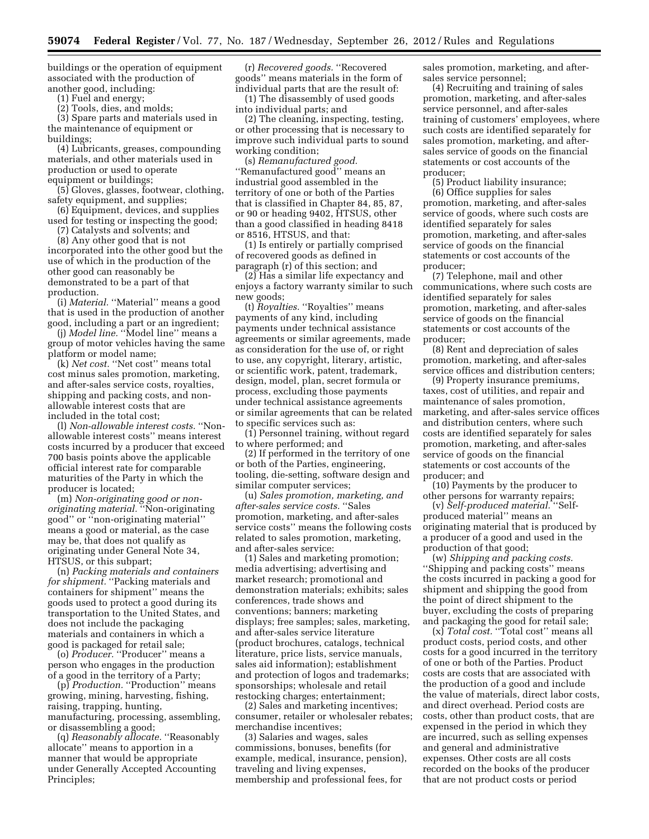buildings or the operation of equipment associated with the production of another good, including:

(1) Fuel and energy;

(2) Tools, dies, and molds;

(3) Spare parts and materials used in the maintenance of equipment or buildings;

(4) Lubricants, greases, compounding materials, and other materials used in production or used to operate equipment or buildings;

(5) Gloves, glasses, footwear, clothing, safety equipment, and supplies;

(6) Equipment, devices, and supplies used for testing or inspecting the good;

(7) Catalysts and solvents; and

(8) Any other good that is not incorporated into the other good but the use of which in the production of the other good can reasonably be demonstrated to be a part of that production.

(i) *Material.* "Material" means a good that is used in the production of another good, including a part or an ingredient;

(j) *Model line.* ''Model line'' means a group of motor vehicles having the same platform or model name;

(k) *Net cost.* "Net cost" means total cost minus sales promotion, marketing, and after-sales service costs, royalties, shipping and packing costs, and nonallowable interest costs that are included in the total cost;

(l) *Non-allowable interest costs.* ''Nonallowable interest costs'' means interest costs incurred by a producer that exceed 700 basis points above the applicable official interest rate for comparable maturities of the Party in which the producer is located;

(m) *Non-originating good or nonoriginating material.* ''Non-originating good'' or ''non-originating material'' means a good or material, as the case may be, that does not qualify as originating under General Note 34, HTSUS, or this subpart;

(n) *Packing materials and containers*  for shipment. "Packing materials and containers for shipment'' means the goods used to protect a good during its transportation to the United States, and does not include the packaging materials and containers in which a good is packaged for retail sale;

(o) *Producer.* ''Producer'' means a person who engages in the production of a good in the territory of a Party;

(p) *Production.* ''Production'' means growing, mining, harvesting, fishing, raising, trapping, hunting, manufacturing, processing, assembling, or disassembling a good;

(q) *Reasonably allocate.* ''Reasonably allocate'' means to apportion in a manner that would be appropriate under Generally Accepted Accounting Principles;

(r) *Recovered goods.* ''Recovered goods'' means materials in the form of individual parts that are the result of:

(1) The disassembly of used goods into individual parts; and

(2) The cleaning, inspecting, testing, or other processing that is necessary to improve such individual parts to sound working condition;

(s) *Remanufactured good.*  ''Remanufactured good'' means an industrial good assembled in the territory of one or both of the Parties that is classified in Chapter 84, 85, 87, or 90 or heading 9402, HTSUS, other than a good classified in heading 8418 or 8516, HTSUS, and that:

(1) Is entirely or partially comprised of recovered goods as defined in paragraph (r) of this section; and

(2) Has a similar life expectancy and enjoys a factory warranty similar to such new goods;

(t) *Royalties.* "Royalties" means payments of any kind, including payments under technical assistance agreements or similar agreements, made as consideration for the use of, or right to use, any copyright, literary, artistic, or scientific work, patent, trademark, design, model, plan, secret formula or process, excluding those payments under technical assistance agreements or similar agreements that can be related to specific services such as:

(1) Personnel training, without regard to where performed; and

(2) If performed in the territory of one or both of the Parties, engineering, tooling, die-setting, software design and similar computer services;

(u) *Sales promotion, marketing, and after-sales service costs.* ''Sales promotion, marketing, and after-sales service costs'' means the following costs related to sales promotion, marketing, and after-sales service:

(1) Sales and marketing promotion; media advertising; advertising and market research; promotional and demonstration materials; exhibits; sales conferences, trade shows and conventions; banners; marketing displays; free samples; sales, marketing, and after-sales service literature (product brochures, catalogs, technical literature, price lists, service manuals, sales aid information); establishment and protection of logos and trademarks; sponsorships; wholesale and retail restocking charges; entertainment;

(2) Sales and marketing incentives; consumer, retailer or wholesaler rebates; merchandise incentives;

(3) Salaries and wages, sales commissions, bonuses, benefits (for example, medical, insurance, pension), traveling and living expenses, membership and professional fees, for

sales promotion, marketing, and aftersales service personnel;

(4) Recruiting and training of sales promotion, marketing, and after-sales service personnel, and after-sales training of customers' employees, where such costs are identified separately for sales promotion, marketing, and aftersales service of goods on the financial statements or cost accounts of the producer;

(5) Product liability insurance; (6) Office supplies for sales promotion, marketing, and after-sales service of goods, where such costs are identified separately for sales promotion, marketing, and after-sales service of goods on the financial statements or cost accounts of the producer;

(7) Telephone, mail and other communications, where such costs are identified separately for sales promotion, marketing, and after-sales service of goods on the financial statements or cost accounts of the producer;

(8) Rent and depreciation of sales promotion, marketing, and after-sales service offices and distribution centers;

(9) Property insurance premiums, taxes, cost of utilities, and repair and maintenance of sales promotion, marketing, and after-sales service offices and distribution centers, where such costs are identified separately for sales promotion, marketing, and after-sales service of goods on the financial statements or cost accounts of the producer; and

(10) Payments by the producer to other persons for warranty repairs;

(v) *Self-produced material.* ''Selfproduced material'' means an originating material that is produced by a producer of a good and used in the production of that good;

(w) *Shipping and packing costs.*  ''Shipping and packing costs'' means the costs incurred in packing a good for shipment and shipping the good from the point of direct shipment to the buyer, excluding the costs of preparing and packaging the good for retail sale;

(x) *Total cost.* ''Total cost'' means all product costs, period costs, and other costs for a good incurred in the territory of one or both of the Parties. Product costs are costs that are associated with the production of a good and include the value of materials, direct labor costs, and direct overhead. Period costs are costs, other than product costs, that are expensed in the period in which they are incurred, such as selling expenses and general and administrative expenses. Other costs are all costs recorded on the books of the producer that are not product costs or period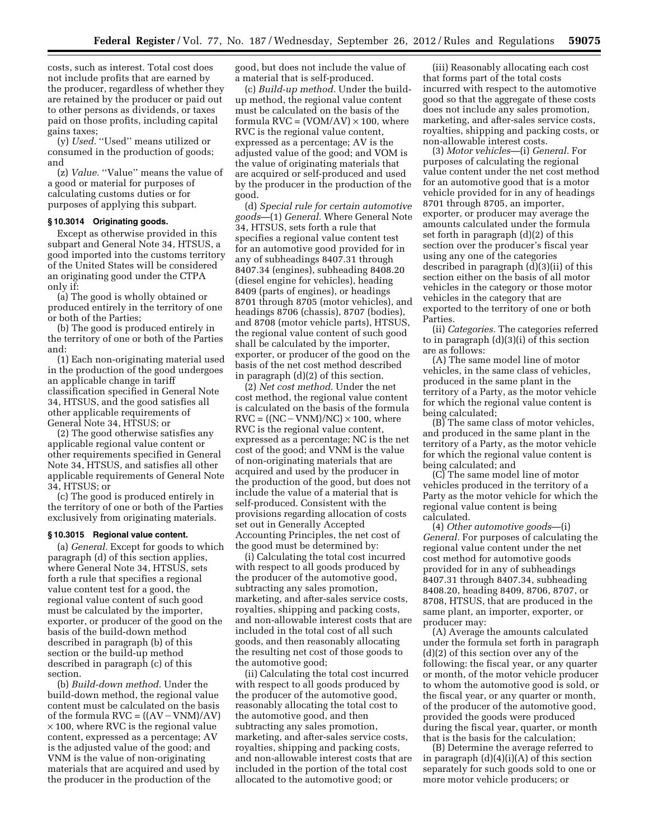costs, such as interest. Total cost does not include profits that are earned by the producer, regardless of whether they are retained by the producer or paid out to other persons as dividends, or taxes paid on those profits, including capital gains taxes;

(y) *Used.* ''Used'' means utilized or consumed in the production of goods; and

(z) *Value.* "Value" means the value of a good or material for purposes of calculating customs duties or for purposes of applying this subpart.

### **§ 10.3014 Originating goods.**

Except as otherwise provided in this subpart and General Note 34, HTSUS, a good imported into the customs territory of the United States will be considered an originating good under the CTPA only if:

(a) The good is wholly obtained or produced entirely in the territory of one or both of the Parties;

(b) The good is produced entirely in the territory of one or both of the Parties and:

(1) Each non-originating material used in the production of the good undergoes an applicable change in tariff classification specified in General Note 34, HTSUS, and the good satisfies all other applicable requirements of General Note 34, HTSUS; or

(2) The good otherwise satisfies any applicable regional value content or other requirements specified in General Note 34, HTSUS, and satisfies all other applicable requirements of General Note 34, HTSUS; or

(c) The good is produced entirely in the territory of one or both of the Parties exclusively from originating materials.

### **§ 10.3015 Regional value content.**

(a) *General.* Except for goods to which paragraph (d) of this section applies, where General Note 34, HTSUS, sets forth a rule that specifies a regional value content test for a good, the regional value content of such good must be calculated by the importer, exporter, or producer of the good on the basis of the build-down method described in paragraph (b) of this section or the build-up method described in paragraph (c) of this section.

(b) *Build-down method.* Under the build-down method, the regional value content must be calculated on the basis of the formula  $RVC = ((AV-VNM)/AV)$ × 100, where RVC is the regional value content, expressed as a percentage; AV is the adjusted value of the good; and VNM is the value of non-originating materials that are acquired and used by the producer in the production of the

good, but does not include the value of a material that is self-produced.

(c) *Build-up method.* Under the buildup method, the regional value content must be calculated on the basis of the formula  $RVC = (VOM/AV) \times 100$ , where RVC is the regional value content, expressed as a percentage; AV is the adjusted value of the good; and VOM is the value of originating materials that are acquired or self-produced and used by the producer in the production of the good.

(d) *Special rule for certain automotive goods*—(1) *General.* Where General Note 34, HTSUS, sets forth a rule that specifies a regional value content test for an automotive good provided for in any of subheadings 8407.31 through 8407.34 (engines), subheading 8408.20 (diesel engine for vehicles), heading 8409 (parts of engines), or headings 8701 through 8705 (motor vehicles), and headings 8706 (chassis), 8707 (bodies), and 8708 (motor vehicle parts), HTSUS, the regional value content of such good shall be calculated by the importer, exporter, or producer of the good on the basis of the net cost method described in paragraph (d)(2) of this section.

(2) *Net cost method.* Under the net cost method, the regional value content is calculated on the basis of the formula  $RVC = ((NC-VNM)/NC) \times 100$ , where RVC is the regional value content, expressed as a percentage; NC is the net cost of the good; and VNM is the value of non-originating materials that are acquired and used by the producer in the production of the good, but does not include the value of a material that is self-produced. Consistent with the provisions regarding allocation of costs set out in Generally Accepted Accounting Principles, the net cost of the good must be determined by:

(i) Calculating the total cost incurred with respect to all goods produced by the producer of the automotive good, subtracting any sales promotion, marketing, and after-sales service costs, royalties, shipping and packing costs, and non-allowable interest costs that are included in the total cost of all such goods, and then reasonably allocating the resulting net cost of those goods to the automotive good;

(ii) Calculating the total cost incurred with respect to all goods produced by the producer of the automotive good, reasonably allocating the total cost to the automotive good, and then subtracting any sales promotion, marketing, and after-sales service costs, royalties, shipping and packing costs, and non-allowable interest costs that are included in the portion of the total cost allocated to the automotive good; or

(iii) Reasonably allocating each cost that forms part of the total costs incurred with respect to the automotive good so that the aggregate of these costs does not include any sales promotion, marketing, and after-sales service costs, royalties, shipping and packing costs, or non-allowable interest costs.

(3) *Motor vehicles*—(i) *General.* For purposes of calculating the regional value content under the net cost method for an automotive good that is a motor vehicle provided for in any of headings 8701 through 8705, an importer, exporter, or producer may average the amounts calculated under the formula set forth in paragraph (d)(2) of this section over the producer's fiscal year using any one of the categories described in paragraph (d)(3)(ii) of this section either on the basis of all motor vehicles in the category or those motor vehicles in the category that are exported to the territory of one or both Parties.

(ii) *Categories.* The categories referred to in paragraph (d)(3)(i) of this section are as follows:

(A) The same model line of motor vehicles, in the same class of vehicles, produced in the same plant in the territory of a Party, as the motor vehicle for which the regional value content is being calculated;

(B) The same class of motor vehicles, and produced in the same plant in the territory of a Party, as the motor vehicle for which the regional value content is being calculated; and

(C) The same model line of motor vehicles produced in the territory of a Party as the motor vehicle for which the regional value content is being calculated.

(4) *Other automotive goods*—(i) *General.* For purposes of calculating the regional value content under the net cost method for automotive goods provided for in any of subheadings 8407.31 through 8407.34, subheading 8408.20, heading 8409, 8706, 8707, or 8708, HTSUS, that are produced in the same plant, an importer, exporter, or producer may:

(A) Average the amounts calculated under the formula set forth in paragraph (d)(2) of this section over any of the following: the fiscal year, or any quarter or month, of the motor vehicle producer to whom the automotive good is sold, or the fiscal year, or any quarter or month, of the producer of the automotive good, provided the goods were produced during the fiscal year, quarter, or month that is the basis for the calculation;

(B) Determine the average referred to in paragraph  $(d)(4)(i)(A)$  of this section separately for such goods sold to one or more motor vehicle producers; or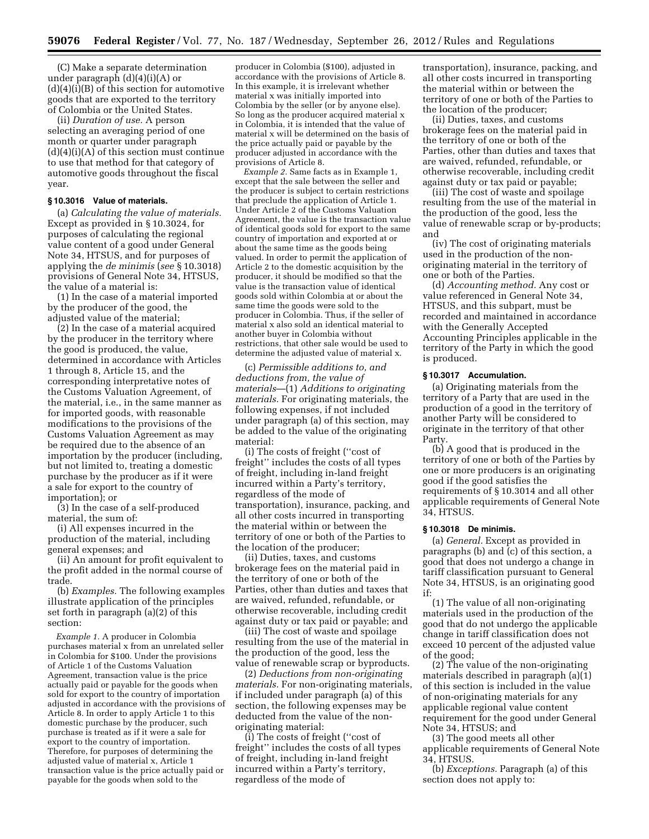(C) Make a separate determination under paragraph (d)(4)(i)(A) or  $(d)(4)(i)(B)$  of this section for automotive goods that are exported to the territory of Colombia or the United States.

(ii) *Duration of use.* A person selecting an averaging period of one month or quarter under paragraph  $(d)(4)(i)(A)$  of this section must continue to use that method for that category of automotive goods throughout the fiscal year.

#### **§ 10.3016 Value of materials.**

(a) *Calculating the value of materials.*  Except as provided in § 10.3024, for purposes of calculating the regional value content of a good under General Note 34, HTSUS, and for purposes of applying the *de minimis* (*see* § 10.3018) provisions of General Note 34, HTSUS, the value of a material is:

(1) In the case of a material imported by the producer of the good, the adjusted value of the material;

(2) In the case of a material acquired by the producer in the territory where the good is produced, the value, determined in accordance with Articles 1 through 8, Article 15, and the corresponding interpretative notes of the Customs Valuation Agreement, of the material, i.e., in the same manner as for imported goods, with reasonable modifications to the provisions of the Customs Valuation Agreement as may be required due to the absence of an importation by the producer (including, but not limited to, treating a domestic purchase by the producer as if it were a sale for export to the country of importation); or

(3) In the case of a self-produced material, the sum of:

(i) All expenses incurred in the production of the material, including general expenses; and

(ii) An amount for profit equivalent to the profit added in the normal course of trade.

(b) *Examples.* The following examples illustrate application of the principles set forth in paragraph (a)(2) of this section:

*Example 1.* A producer in Colombia purchases material x from an unrelated seller in Colombia for \$100. Under the provisions of Article 1 of the Customs Valuation Agreement, transaction value is the price actually paid or payable for the goods when sold for export to the country of importation adjusted in accordance with the provisions of Article 8. In order to apply Article 1 to this domestic purchase by the producer, such purchase is treated as if it were a sale for export to the country of importation. Therefore, for purposes of determining the adjusted value of material x, Article 1 transaction value is the price actually paid or payable for the goods when sold to the

producer in Colombia (\$100), adjusted in accordance with the provisions of Article 8. In this example, it is irrelevant whether material x was initially imported into Colombia by the seller (or by anyone else). So long as the producer acquired material x in Colombia, it is intended that the value of material x will be determined on the basis of the price actually paid or payable by the producer adjusted in accordance with the provisions of Article 8.

*Example 2.* Same facts as in Example 1, except that the sale between the seller and the producer is subject to certain restrictions that preclude the application of Article 1. Under Article 2 of the Customs Valuation Agreement, the value is the transaction value of identical goods sold for export to the same country of importation and exported at or about the same time as the goods being valued. In order to permit the application of Article 2 to the domestic acquisition by the producer, it should be modified so that the value is the transaction value of identical goods sold within Colombia at or about the same time the goods were sold to the producer in Colombia. Thus, if the seller of material x also sold an identical material to another buyer in Colombia without restrictions, that other sale would be used to determine the adjusted value of material x.

(c) *Permissible additions to, and deductions from, the value of materials*—(1) *Additions to originating materials.* For originating materials, the following expenses, if not included under paragraph (a) of this section, may be added to the value of the originating material:

(i) The costs of freight (''cost of freight'' includes the costs of all types of freight, including in-land freight incurred within a Party's territory, regardless of the mode of transportation), insurance, packing, and all other costs incurred in transporting the material within or between the territory of one or both of the Parties to the location of the producer;

(ii) Duties, taxes, and customs brokerage fees on the material paid in the territory of one or both of the Parties, other than duties and taxes that are waived, refunded, refundable, or otherwise recoverable, including credit against duty or tax paid or payable; and

(iii) The cost of waste and spoilage resulting from the use of the material in the production of the good, less the value of renewable scrap or byproducts.

(2) *Deductions from non-originating materials.* For non-originating materials, if included under paragraph (a) of this section, the following expenses may be deducted from the value of the nonoriginating material:

(i) The costs of freight (''cost of freight'' includes the costs of all types of freight, including in-land freight incurred within a Party's territory, regardless of the mode of

transportation), insurance, packing, and all other costs incurred in transporting the material within or between the territory of one or both of the Parties to the location of the producer;

(ii) Duties, taxes, and customs brokerage fees on the material paid in the territory of one or both of the Parties, other than duties and taxes that are waived, refunded, refundable, or otherwise recoverable, including credit against duty or tax paid or payable;

(iii) The cost of waste and spoilage resulting from the use of the material in the production of the good, less the value of renewable scrap or by-products; and

(iv) The cost of originating materials used in the production of the nonoriginating material in the territory of one or both of the Parties.

(d) *Accounting method.* Any cost or value referenced in General Note 34, HTSUS, and this subpart, must be recorded and maintained in accordance with the Generally Accepted Accounting Principles applicable in the territory of the Party in which the good is produced.

### **§ 10.3017 Accumulation.**

(a) Originating materials from the territory of a Party that are used in the production of a good in the territory of another Party will be considered to originate in the territory of that other Party.

(b) A good that is produced in the territory of one or both of the Parties by one or more producers is an originating good if the good satisfies the requirements of § 10.3014 and all other applicable requirements of General Note 34, HTSUS.

#### **§ 10.3018 De minimis.**

(a) *General.* Except as provided in paragraphs (b) and (c) of this section, a good that does not undergo a change in tariff classification pursuant to General Note 34, HTSUS, is an originating good if:

(1) The value of all non-originating materials used in the production of the good that do not undergo the applicable change in tariff classification does not exceed 10 percent of the adjusted value of the good;

(2) The value of the non-originating materials described in paragraph (a)(1) of this section is included in the value of non-originating materials for any applicable regional value content requirement for the good under General Note 34, HTSUS; and

(3) The good meets all other applicable requirements of General Note 34, HTSUS.

(b) *Exceptions.* Paragraph (a) of this section does not apply to: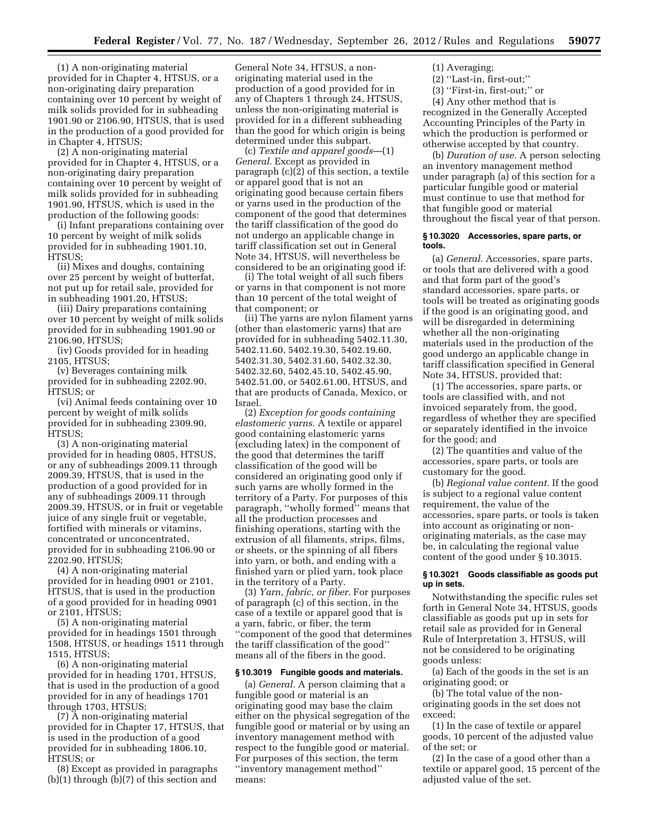(1) A non-originating material provided for in Chapter 4, HTSUS, or a non-originating dairy preparation containing over 10 percent by weight of milk solids provided for in subheading 1901.90 or 2106.90, HTSUS, that is used in the production of a good provided for in Chapter 4, HTSUS;

(2) A non-originating material provided for in Chapter 4, HTSUS, or a non-originating dairy preparation containing over 10 percent by weight of milk solids provided for in subheading 1901.90, HTSUS, which is used in the production of the following goods:

(i) Infant preparations containing over 10 percent by weight of milk solids provided for in subheading 1901.10, HTSUS;

(ii) Mixes and doughs, containing over 25 percent by weight of butterfat, not put up for retail sale, provided for in subheading 1901.20, HTSUS;

(iii) Dairy preparations containing over 10 percent by weight of milk solids provided for in subheading 1901.90 or 2106.90, HTSUS;

(iv) Goods provided for in heading 2105, HTSUS;

(v) Beverages containing milk provided for in subheading 2202.90, HTSUS; or

(vi) Animal feeds containing over 10 percent by weight of milk solids provided for in subheading 2309.90, HTSUS;

(3) A non-originating material provided for in heading 0805, HTSUS, or any of subheadings 2009.11 through 2009.39, HTSUS, that is used in the production of a good provided for in any of subheadings 2009.11 through 2009.39, HTSUS, or in fruit or vegetable juice of any single fruit or vegetable, fortified with minerals or vitamins, concentrated or unconcentrated, provided for in subheading 2106.90 or 2202.90, HTSUS;

(4) A non-originating material provided for in heading 0901 or 2101, HTSUS, that is used in the production of a good provided for in heading 0901 or 2101, HTSUS;

(5) A non-originating material provided for in headings 1501 through 1508, HTSUS, or headings 1511 through 1515, HTSUS;

(6) A non-originating material provided for in heading 1701, HTSUS, that is used in the production of a good provided for in any of headings 1701 through 1703, HTSUS;

(7) A non-originating material provided for in Chapter 17, HTSUS, that is used in the production of a good provided for in subheading 1806.10, HTSUS; or

(8) Except as provided in paragraphs (b)(1) through (b)(7) of this section and

General Note 34, HTSUS, a nonoriginating material used in the production of a good provided for in any of Chapters 1 through 24, HTSUS, unless the non-originating material is provided for in a different subheading than the good for which origin is being determined under this subpart.

(c) *Textile and apparel goods*—(1) *General.* Except as provided in paragraph (c)(2) of this section, a textile or apparel good that is not an originating good because certain fibers or yarns used in the production of the component of the good that determines the tariff classification of the good do not undergo an applicable change in tariff classification set out in General Note 34, HTSUS, will nevertheless be considered to be an originating good if:

(i) The total weight of all such fibers or yarns in that component is not more than 10 percent of the total weight of that component; or

(ii) The yarns are nylon filament yarns (other than elastomeric yarns) that are provided for in subheading 5402.11.30, 5402.11.60, 5402.19.30, 5402.19.60, 5402.31.30, 5402.31.60, 5402.32.30, 5402.32.60, 5402.45.10, 5402.45.90, 5402.51.00, or 5402.61.00, HTSUS, and that are products of Canada, Mexico, or Israel.

(2) *Exception for goods containing elastomeric yarns.* A textile or apparel good containing elastomeric yarns (excluding latex) in the component of the good that determines the tariff classification of the good will be considered an originating good only if such yarns are wholly formed in the territory of a Party. For purposes of this paragraph, ''wholly formed'' means that all the production processes and finishing operations, starting with the extrusion of all filaments, strips, films, or sheets, or the spinning of all fibers into yarn, or both, and ending with a finished yarn or plied yarn, took place in the territory of a Party.

(3) *Yarn, fabric, or fiber.* For purposes of paragraph (c) of this section, in the case of a textile or apparel good that is a yarn, fabric, or fiber, the term ''component of the good that determines the tariff classification of the good'' means all of the fibers in the good.

#### **§ 10.3019 Fungible goods and materials.**

(a) *General.* A person claiming that a fungible good or material is an originating good may base the claim either on the physical segregation of the fungible good or material or by using an inventory management method with respect to the fungible good or material. For purposes of this section, the term ''inventory management method'' means:

(1) Averaging;

- (2) ''Last-in, first-out;''
- (3) ''First-in, first-out;'' or

(4) Any other method that is recognized in the Generally Accepted Accounting Principles of the Party in which the production is performed or otherwise accepted by that country.

(b) *Duration of use.* A person selecting an inventory management method under paragraph (a) of this section for a particular fungible good or material must continue to use that method for that fungible good or material throughout the fiscal year of that person.

### **§ 10.3020 Accessories, spare parts, or tools.**

(a) *General.* Accessories, spare parts, or tools that are delivered with a good and that form part of the good's standard accessories, spare parts, or tools will be treated as originating goods if the good is an originating good, and will be disregarded in determining whether all the non-originating materials used in the production of the good undergo an applicable change in tariff classification specified in General Note 34, HTSUS, provided that:

(1) The accessories, spare parts, or tools are classified with, and not invoiced separately from, the good, regardless of whether they are specified or separately identified in the invoice for the good; and

(2) The quantities and value of the accessories, spare parts, or tools are customary for the good.

(b) *Regional value content.* If the good is subject to a regional value content requirement, the value of the accessories, spare parts, or tools is taken into account as originating or nonoriginating materials, as the case may be, in calculating the regional value content of the good under § 10.3015.

### **§ 10.3021 Goods classifiable as goods put up in sets.**

Notwithstanding the specific rules set forth in General Note 34, HTSUS, goods classifiable as goods put up in sets for retail sale as provided for in General Rule of Interpretation 3, HTSUS, will not be considered to be originating goods unless:

(a) Each of the goods in the set is an originating good; or

(b) The total value of the nonoriginating goods in the set does not exceed;

(1) In the case of textile or apparel goods, 10 percent of the adjusted value of the set; or

(2) In the case of a good other than a textile or apparel good, 15 percent of the adjusted value of the set.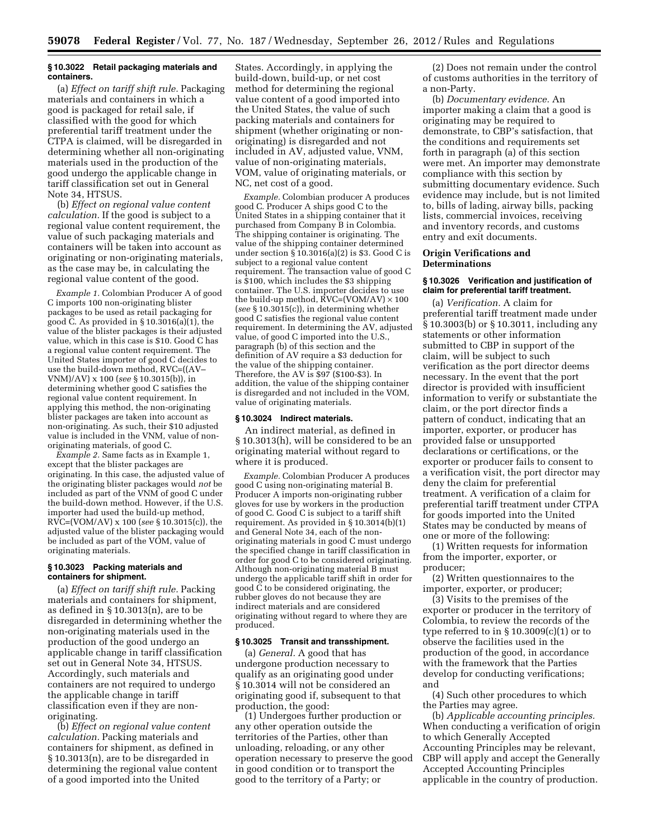#### **§ 10.3022 Retail packaging materials and containers.**

(a) *Effect on tariff shift rule.* Packaging materials and containers in which a good is packaged for retail sale, if classified with the good for which preferential tariff treatment under the CTPA is claimed, will be disregarded in determining whether all non-originating materials used in the production of the good undergo the applicable change in tariff classification set out in General Note 34, HTSUS.

(b) *Effect on regional value content calculation.* If the good is subject to a regional value content requirement, the value of such packaging materials and containers will be taken into account as originating or non-originating materials, as the case may be, in calculating the regional value content of the good.

*Example 1.* Colombian Producer A of good C imports 100 non-originating blister packages to be used as retail packaging for good C. As provided in  $\S 10.3016(a)(1)$ , the value of the blister packages is their adjusted value, which in this case is \$10. Good C has a regional value content requirement. The United States importer of good C decides to use the build-down method, RVC=((AV– VNM)/AV) x 100 (*see* § 10.3015(b)), in determining whether good C satisfies the regional value content requirement. In applying this method, the non-originating blister packages are taken into account as non-originating. As such, their \$10 adjusted value is included in the VNM, value of nonoriginating materials, of good C.

*Example 2.* Same facts as in Example 1, except that the blister packages are originating. In this case, the adjusted value of the originating blister packages would *not* be included as part of the VNM of good C under the build-down method. However, if the U.S. importer had used the build-up method, RVC=(VOM/AV) x 100 (*see* § 10.3015(c)), the adjusted value of the blister packaging would be included as part of the VOM, value of originating materials.

## **§ 10.3023 Packing materials and containers for shipment.**

(a) *Effect on tariff shift rule.* Packing materials and containers for shipment, as defined in § 10.3013(n), are to be disregarded in determining whether the non-originating materials used in the production of the good undergo an applicable change in tariff classification set out in General Note 34, HTSUS. Accordingly, such materials and containers are not required to undergo the applicable change in tariff classification even if they are nonoriginating.

(b) *Effect on regional value content calculation.* Packing materials and containers for shipment, as defined in § 10.3013(n), are to be disregarded in determining the regional value content of a good imported into the United

States. Accordingly, in applying the build-down, build-up, or net cost method for determining the regional value content of a good imported into the United States, the value of such packing materials and containers for shipment (whether originating or nonoriginating) is disregarded and not included in AV, adjusted value, VNM, value of non-originating materials, VOM, value of originating materials, or NC, net cost of a good.

*Example.* Colombian producer A produces good C. Producer A ships good C to the United States in a shipping container that it purchased from Company B in Colombia. The shipping container is originating. The value of the shipping container determined under section § 10.3016(a)(2) is \$3. Good C is subject to a regional value content requirement. The transaction value of good C is \$100, which includes the \$3 shipping container. The U.S. importer decides to use the build-up method,  $\rm RVC = (VOM/AV) \times 100$ (*see* § 10.3015(c)), in determining whether good C satisfies the regional value content requirement. In determining the AV, adjusted value, of good C imported into the U.S., paragraph (b) of this section and the definition of AV require a \$3 deduction for the value of the shipping container. Therefore, the AV is \$97 (\$100-\$3). In addition, the value of the shipping container is disregarded and not included in the VOM, value of originating materials.

### **§ 10.3024 Indirect materials.**

An indirect material, as defined in § 10.3013(h), will be considered to be an originating material without regard to where it is produced.

*Example.* Colombian Producer A produces good C using non-originating material B. Producer A imports non-originating rubber gloves for use by workers in the production of good C. Good C is subject to a tariff shift requirement. As provided in § 10.3014(b)(1) and General Note 34, each of the nonoriginating materials in good C must undergo the specified change in tariff classification in order for good C to be considered originating. Although non-originating material B must undergo the applicable tariff shift in order for good C to be considered originating, the rubber gloves do not because they are indirect materials and are considered originating without regard to where they are produced.

### **§ 10.3025 Transit and transshipment.**

(a) *General.* A good that has undergone production necessary to qualify as an originating good under § 10.3014 will not be considered an originating good if, subsequent to that production, the good:

(1) Undergoes further production or any other operation outside the territories of the Parties, other than unloading, reloading, or any other operation necessary to preserve the good in good condition or to transport the good to the territory of a Party; or

(2) Does not remain under the control of customs authorities in the territory of a non-Party.

(b) *Documentary evidence.* An importer making a claim that a good is originating may be required to demonstrate, to CBP's satisfaction, that the conditions and requirements set forth in paragraph (a) of this section were met. An importer may demonstrate compliance with this section by submitting documentary evidence. Such evidence may include, but is not limited to, bills of lading, airway bills, packing lists, commercial invoices, receiving and inventory records, and customs entry and exit documents.

#### **Origin Verifications and Determinations**

## **§ 10.3026 Verification and justification of claim for preferential tariff treatment.**

(a) *Verification.* A claim for preferential tariff treatment made under § 10.3003(b) or § 10.3011, including any statements or other information submitted to CBP in support of the claim, will be subject to such verification as the port director deems necessary. In the event that the port director is provided with insufficient information to verify or substantiate the claim, or the port director finds a pattern of conduct, indicating that an importer, exporter, or producer has provided false or unsupported declarations or certifications, or the exporter or producer fails to consent to a verification visit, the port director may deny the claim for preferential treatment. A verification of a claim for preferential tariff treatment under CTPA for goods imported into the United States may be conducted by means of one or more of the following:

(1) Written requests for information from the importer, exporter, or producer;

(2) Written questionnaires to the importer, exporter, or producer;

(3) Visits to the premises of the exporter or producer in the territory of Colombia, to review the records of the type referred to in  $\S 10.3009(c)(1)$  or to observe the facilities used in the production of the good, in accordance with the framework that the Parties develop for conducting verifications; and

(4) Such other procedures to which the Parties may agree.

(b) *Applicable accounting principles.*  When conducting a verification of origin to which Generally Accepted Accounting Principles may be relevant, CBP will apply and accept the Generally Accepted Accounting Principles applicable in the country of production.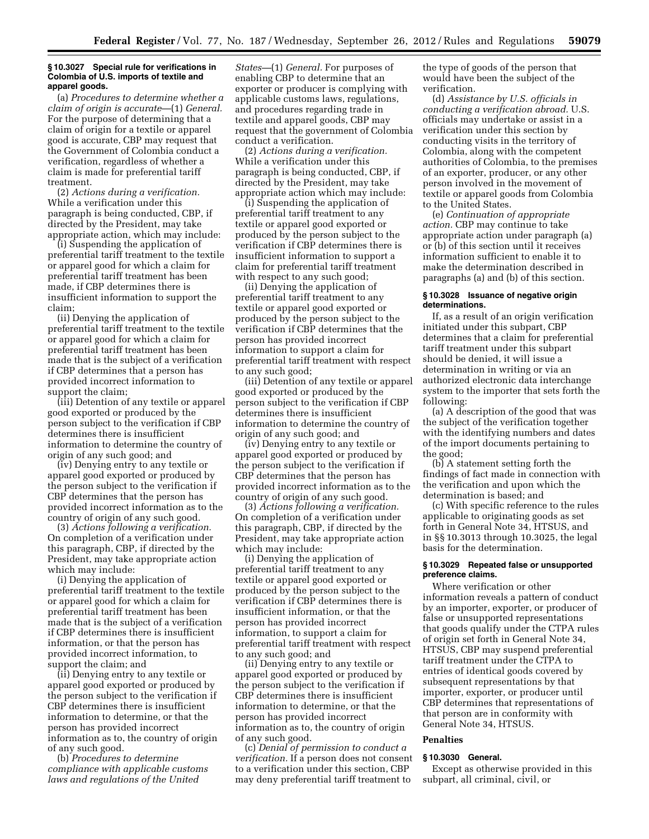#### **§ 10.3027 Special rule for verifications in Colombia of U.S. imports of textile and apparel goods.**

(a) *Procedures to determine whether a claim of origin is accurate*—(1) *General.*  For the purpose of determining that a claim of origin for a textile or apparel good is accurate, CBP may request that the Government of Colombia conduct a verification, regardless of whether a claim is made for preferential tariff treatment.

(2) *Actions during a verification.*  While a verification under this paragraph is being conducted, CBP, if directed by the President, may take appropriate action, which may include:

(i) Suspending the application of preferential tariff treatment to the textile or apparel good for which a claim for preferential tariff treatment has been made, if CBP determines there is insufficient information to support the claim;

(ii) Denying the application of preferential tariff treatment to the textile or apparel good for which a claim for preferential tariff treatment has been made that is the subject of a verification if CBP determines that a person has provided incorrect information to support the claim;

(iii) Detention of any textile or apparel good exported or produced by the person subject to the verification if CBP determines there is insufficient information to determine the country of origin of any such good; and

(iv) Denying entry to any textile or apparel good exported or produced by the person subject to the verification if CBP determines that the person has provided incorrect information as to the country of origin of any such good.

(3) *Actions following a verification.*  On completion of a verification under this paragraph, CBP, if directed by the President, may take appropriate action which may include:

(i) Denying the application of preferential tariff treatment to the textile or apparel good for which a claim for preferential tariff treatment has been made that is the subject of a verification if CBP determines there is insufficient information, or that the person has provided incorrect information, to support the claim; and

(ii) Denying entry to any textile or apparel good exported or produced by the person subject to the verification if CBP determines there is insufficient information to determine, or that the person has provided incorrect information as to, the country of origin of any such good.

(b) *Procedures to determine compliance with applicable customs laws and regulations of the United* 

*States—*(1) *General.* For purposes of enabling CBP to determine that an exporter or producer is complying with applicable customs laws, regulations, and procedures regarding trade in textile and apparel goods, CBP may request that the government of Colombia conduct a verification.

(2) *Actions during a verification.*  While a verification under this paragraph is being conducted, CBP, if directed by the President, may take appropriate action which may include:

(i) Suspending the application of preferential tariff treatment to any textile or apparel good exported or produced by the person subject to the verification if CBP determines there is insufficient information to support a claim for preferential tariff treatment with respect to any such good;

(ii) Denying the application of preferential tariff treatment to any textile or apparel good exported or produced by the person subject to the verification if CBP determines that the person has provided incorrect information to support a claim for preferential tariff treatment with respect to any such good;

(iii) Detention of any textile or apparel good exported or produced by the person subject to the verification if CBP determines there is insufficient information to determine the country of origin of any such good; and

(iv) Denying entry to any textile or apparel good exported or produced by the person subject to the verification if CBP determines that the person has provided incorrect information as to the country of origin of any such good.

(3) *Actions following a verification.*  On completion of a verification under this paragraph, CBP, if directed by the President, may take appropriate action which may include:

(i) Denying the application of preferential tariff treatment to any textile or apparel good exported or produced by the person subject to the verification if CBP determines there is insufficient information, or that the person has provided incorrect information, to support a claim for preferential tariff treatment with respect to any such good; and

(ii) Denying entry to any textile or apparel good exported or produced by the person subject to the verification if CBP determines there is insufficient information to determine, or that the person has provided incorrect information as to, the country of origin of any such good.

(c) *Denial of permission to conduct a verification.* If a person does not consent to a verification under this section, CBP may deny preferential tariff treatment to

the type of goods of the person that would have been the subject of the verification.

(d) *Assistance by U.S. officials in conducting a verification abroad.* U.S. officials may undertake or assist in a verification under this section by conducting visits in the territory of Colombia, along with the competent authorities of Colombia, to the premises of an exporter, producer, or any other person involved in the movement of textile or apparel goods from Colombia to the United States.

(e) *Continuation of appropriate action.* CBP may continue to take appropriate action under paragraph (a) or (b) of this section until it receives information sufficient to enable it to make the determination described in paragraphs (a) and (b) of this section.

#### **§ 10.3028 Issuance of negative origin determinations.**

If, as a result of an origin verification initiated under this subpart, CBP determines that a claim for preferential tariff treatment under this subpart should be denied, it will issue a determination in writing or via an authorized electronic data interchange system to the importer that sets forth the following:

(a) A description of the good that was the subject of the verification together with the identifying numbers and dates of the import documents pertaining to the good;

(b) A statement setting forth the findings of fact made in connection with the verification and upon which the determination is based; and

(c) With specific reference to the rules applicable to originating goods as set forth in General Note 34, HTSUS, and in §§ 10.3013 through 10.3025, the legal basis for the determination.

## **§ 10.3029 Repeated false or unsupported preference claims.**

Where verification or other information reveals a pattern of conduct by an importer, exporter, or producer of false or unsupported representations that goods qualify under the CTPA rules of origin set forth in General Note 34, HTSUS, CBP may suspend preferential tariff treatment under the CTPA to entries of identical goods covered by subsequent representations by that importer, exporter, or producer until CBP determines that representations of that person are in conformity with General Note 34, HTSUS.

## **Penalties**

## **§ 10.3030 General.**

Except as otherwise provided in this subpart, all criminal, civil, or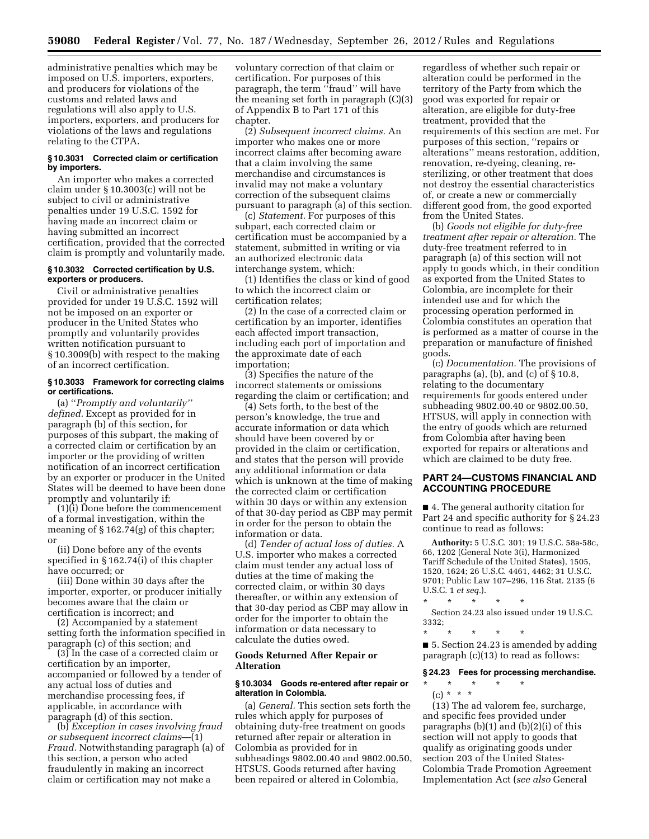administrative penalties which may be imposed on U.S. importers, exporters, and producers for violations of the customs and related laws and regulations will also apply to U.S. importers, exporters, and producers for violations of the laws and regulations relating to the CTPA.

#### **§ 10.3031 Corrected claim or certification by importers.**

An importer who makes a corrected claim under § 10.3003(c) will not be subject to civil or administrative penalties under 19 U.S.C. 1592 for having made an incorrect claim or having submitted an incorrect certification, provided that the corrected claim is promptly and voluntarily made.

## **§ 10.3032 Corrected certification by U.S. exporters or producers.**

Civil or administrative penalties provided for under 19 U.S.C. 1592 will not be imposed on an exporter or producer in the United States who promptly and voluntarily provides written notification pursuant to § 10.3009(b) with respect to the making of an incorrect certification.

## **§ 10.3033 Framework for correcting claims or certifications.**

(a) ''*Promptly and voluntarily'' defined.* Except as provided for in paragraph (b) of this section, for purposes of this subpart, the making of a corrected claim or certification by an importer or the providing of written notification of an incorrect certification by an exporter or producer in the United States will be deemed to have been done promptly and voluntarily if:

(1)(i) Done before the commencement of a formal investigation, within the meaning of § 162.74(g) of this chapter; or

(ii) Done before any of the events specified in § 162.74(i) of this chapter have occurred; or

(iii) Done within 30 days after the importer, exporter, or producer initially becomes aware that the claim or certification is incorrect; and

(2) Accompanied by a statement setting forth the information specified in paragraph (c) of this section; and

(3) In the case of a corrected claim or certification by an importer, accompanied or followed by a tender of any actual loss of duties and merchandise processing fees, if applicable, in accordance with paragraph (d) of this section.

(b) *Exception in cases involving fraud or subsequent incorrect claims*—(1) *Fraud.* Notwithstanding paragraph (a) of this section, a person who acted fraudulently in making an incorrect claim or certification may not make a

voluntary correction of that claim or certification. For purposes of this paragraph, the term ''fraud'' will have the meaning set forth in paragraph (C)(3) of Appendix B to Part 171 of this chapter.

(2) *Subsequent incorrect claims.* An importer who makes one or more incorrect claims after becoming aware that a claim involving the same merchandise and circumstances is invalid may not make a voluntary correction of the subsequent claims pursuant to paragraph (a) of this section.

(c) *Statement.* For purposes of this subpart, each corrected claim or certification must be accompanied by a statement, submitted in writing or via an authorized electronic data interchange system, which:

(1) Identifies the class or kind of good to which the incorrect claim or certification relates;

(2) In the case of a corrected claim or certification by an importer, identifies each affected import transaction, including each port of importation and the approximate date of each importation;

(3) Specifies the nature of the incorrect statements or omissions regarding the claim or certification; and

(4) Sets forth, to the best of the person's knowledge, the true and accurate information or data which should have been covered by or provided in the claim or certification, and states that the person will provide any additional information or data which is unknown at the time of making the corrected claim or certification within 30 days or within any extension of that 30-day period as CBP may permit in order for the person to obtain the information or data.

(d) *Tender of actual loss of duties.* A U.S. importer who makes a corrected claim must tender any actual loss of duties at the time of making the corrected claim, or within 30 days thereafter, or within any extension of that 30-day period as CBP may allow in order for the importer to obtain the information or data necessary to calculate the duties owed.

## **Goods Returned After Repair or Alteration**

### **§ 10.3034 Goods re-entered after repair or alteration in Colombia.**

(a) *General.* This section sets forth the rules which apply for purposes of obtaining duty-free treatment on goods returned after repair or alteration in Colombia as provided for in subheadings 9802.00.40 and 9802.00.50, HTSUS. Goods returned after having been repaired or altered in Colombia,

regardless of whether such repair or alteration could be performed in the territory of the Party from which the good was exported for repair or alteration, are eligible for duty-free treatment, provided that the requirements of this section are met. For purposes of this section, ''repairs or alterations'' means restoration, addition, renovation, re-dyeing, cleaning, resterilizing, or other treatment that does not destroy the essential characteristics of, or create a new or commercially different good from, the good exported from the United States.

(b) *Goods not eligible for duty-free treatment after repair or alteration.* The duty-free treatment referred to in paragraph (a) of this section will not apply to goods which, in their condition as exported from the United States to Colombia, are incomplete for their intended use and for which the processing operation performed in Colombia constitutes an operation that is performed as a matter of course in the preparation or manufacture of finished goods.

(c) *Documentation.* The provisions of paragraphs (a), (b), and (c) of  $\S 10.8$ , relating to the documentary requirements for goods entered under subheading 9802.00.40 or 9802.00.50, HTSUS, will apply in connection with the entry of goods which are returned from Colombia after having been exported for repairs or alterations and which are claimed to be duty free.

## **PART 24—CUSTOMS FINANCIAL AND ACCOUNTING PROCEDURE**

■ 4. The general authority citation for Part 24 and specific authority for § 24.23 continue to read as follows:

**Authority:** 5 U.S.C. 301; 19 U.S.C. 58a-58c, 66, 1202 (General Note 3(i), Harmonized Tariff Schedule of the United States), 1505, 1520, 1624; 26 U.S.C. 4461, 4462; 31 U.S.C. 9701; Public Law 107–296, 116 Stat. 2135 (6 U.S.C. 1 *et seq.*).

\* \* \* \* \*

Section 24.23 also issued under 19 U.S.C. 3332;

\* \* \* \* \* ■ 5. Section 24.23 is amended by adding paragraph (c)(13) to read as follows:

## **§ 24.23 Fees for processing merchandise.**

\* \* \* \* \*

(c) \* \* \* (13) The ad valorem fee, surcharge, and specific fees provided under paragraphs  $(b)(1)$  and  $(b)(2)(i)$  of this section will not apply to goods that qualify as originating goods under section 203 of the United States-Colombia Trade Promotion Agreement Implementation Act (*see also* General